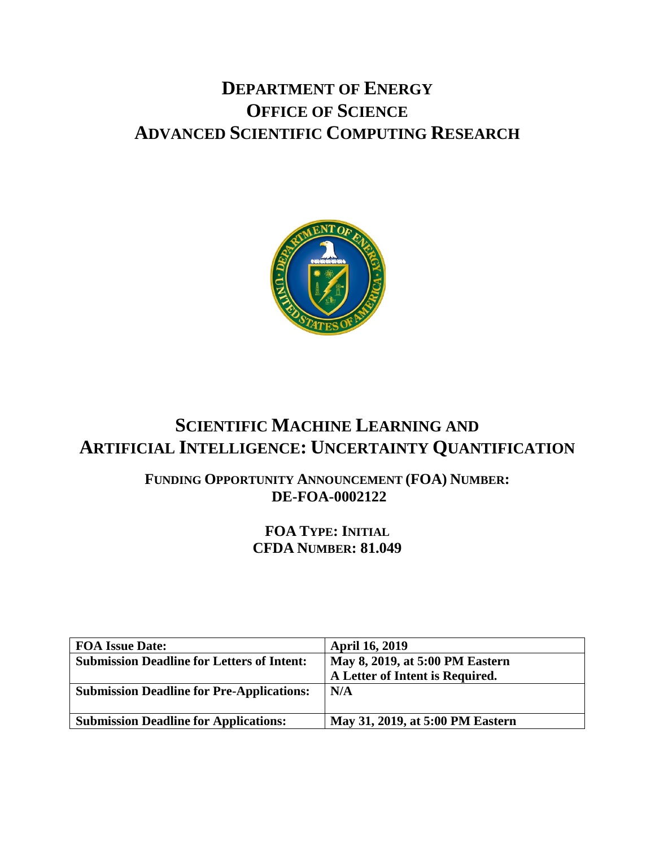# **DEPARTMENT OF ENERGY OFFICE OF SCIENCE ADVANCED SCIENTIFIC COMPUTING RESEARCH**



# **SCIENTIFIC MACHINE LEARNING AND ARTIFICIAL INTELLIGENCE: UNCERTAINTY QUANTIFICATION**

**FUNDING OPPORTUNITY ANNOUNCEMENT (FOA) NUMBER: DE-FOA-0002122**

> **FOA TYPE: INITIAL CFDA NUMBER: 81.049**

| <b>FOA Issue Date:</b>                            | <b>April 16, 2019</b>            |
|---------------------------------------------------|----------------------------------|
| <b>Submission Deadline for Letters of Intent:</b> | May 8, 2019, at 5:00 PM Eastern  |
|                                                   | A Letter of Intent is Required.  |
| <b>Submission Deadline for Pre-Applications:</b>  | N/A                              |
|                                                   |                                  |
| <b>Submission Deadline for Applications:</b>      | May 31, 2019, at 5:00 PM Eastern |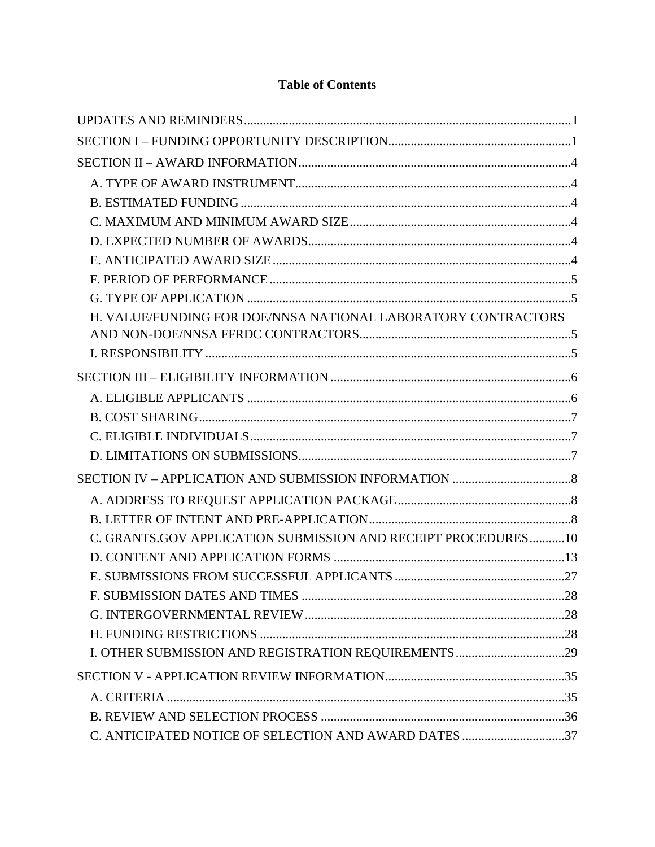# **Table of Contents**

| H. VALUE/FUNDING FOR DOE/NNSA NATIONAL LABORATORY CONTRACTORS |  |
|---------------------------------------------------------------|--|
|                                                               |  |
|                                                               |  |
|                                                               |  |
|                                                               |  |
|                                                               |  |
|                                                               |  |
|                                                               |  |
|                                                               |  |
|                                                               |  |
|                                                               |  |
| C. GRANTS.GOV APPLICATION SUBMISSION AND RECEIPT PROCEDURES10 |  |
|                                                               |  |
|                                                               |  |
|                                                               |  |
|                                                               |  |
|                                                               |  |
|                                                               |  |
|                                                               |  |
|                                                               |  |
|                                                               |  |
| C. ANTICIPATED NOTICE OF SELECTION AND AWARD DATES 37         |  |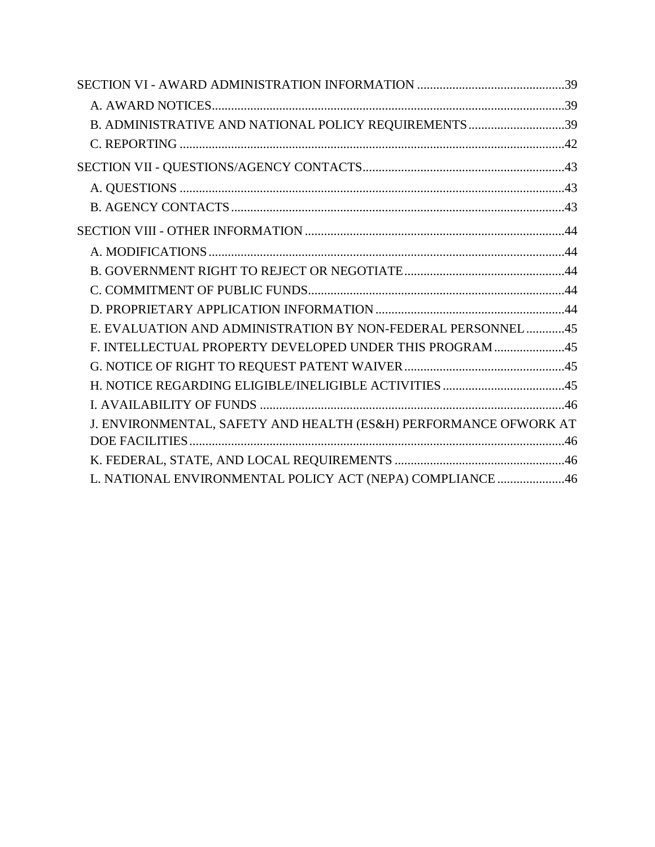| B. ADMINISTRATIVE AND NATIONAL POLICY REQUIREMENTS 39            |  |
|------------------------------------------------------------------|--|
|                                                                  |  |
|                                                                  |  |
|                                                                  |  |
|                                                                  |  |
|                                                                  |  |
|                                                                  |  |
|                                                                  |  |
|                                                                  |  |
|                                                                  |  |
| E. EVALUATION AND ADMINISTRATION BY NON-FEDERAL PERSONNEL45      |  |
| F. INTELLECTUAL PROPERTY DEVELOPED UNDER THIS PROGRAM 45         |  |
|                                                                  |  |
|                                                                  |  |
|                                                                  |  |
| J. ENVIRONMENTAL, SAFETY AND HEALTH (ES&H) PERFORMANCE OFWORK AT |  |
|                                                                  |  |
|                                                                  |  |
| L. NATIONAL ENVIRONMENTAL POLICY ACT (NEPA) COMPLIANCE 46        |  |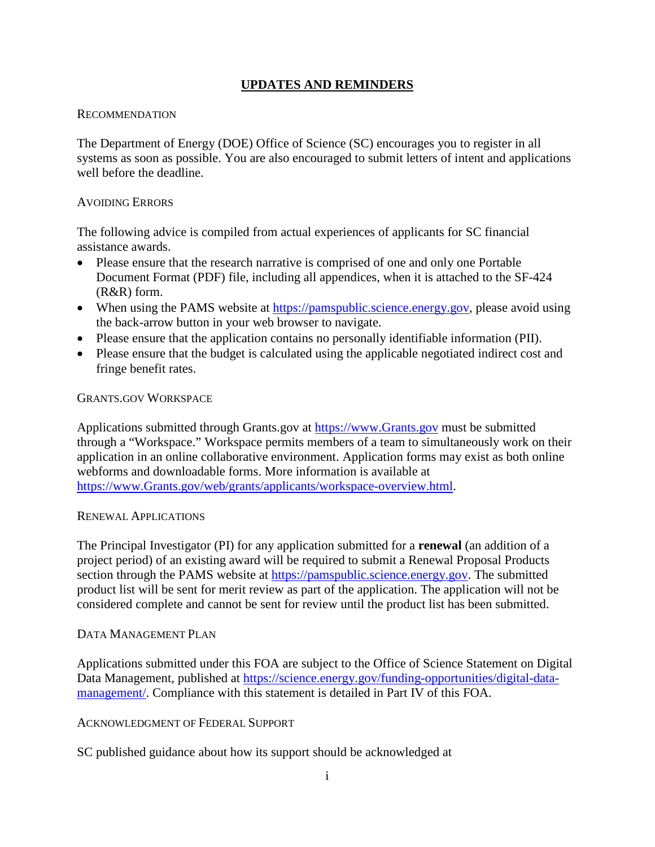### **UPDATES AND REMINDERS**

#### <span id="page-3-0"></span>**RECOMMENDATION**

The Department of Energy (DOE) Office of Science (SC) encourages you to register in all systems as soon as possible. You are also encouraged to submit letters of intent and applications well before the deadline.

#### AVOIDING ERRORS

The following advice is compiled from actual experiences of applicants for SC financial assistance awards.

- Please ensure that the research narrative is comprised of one and only one Portable Document Format (PDF) file, including all appendices, when it is attached to the SF-424 (R&R) form.
- When using the PAMS website at [https://pamspublic.science.energy.gov,](https://pamspublic.science.energy.gov/) please avoid using the back-arrow button in your web browser to navigate.
- Please ensure that the application contains no personally identifiable information (PII).
- Please ensure that the budget is calculated using the applicable negotiated indirect cost and fringe benefit rates.

#### GRANTS.GOV WORKSPACE

Applications submitted through Grants.gov at [https://www.Grants.gov](https://www.grants.gov/) must be submitted through a "Workspace." Workspace permits members of a team to simultaneously work on their application in an online collaborative environment. Application forms may exist as both online webforms and downloadable forms. More information is available at [https://www.Grants.gov/web/grants/applicants/workspace-overview.html.](https://www.grants.gov/web/grants/applicants/workspace-overview.html)

#### RENEWAL APPLICATIONS

The Principal Investigator (PI) for any application submitted for a **renewal** (an addition of a project period) of an existing award will be required to submit a Renewal Proposal Products section through the PAMS website at [https://pamspublic.science.energy.gov.](https://pamspublic.science.energy.gov/) The submitted product list will be sent for merit review as part of the application. The application will not be considered complete and cannot be sent for review until the product list has been submitted.

#### DATA MANAGEMENT PLAN

Applications submitted under this FOA are subject to the Office of Science Statement on Digital Data Management, published at [https://science.energy.gov/funding-opportunities/digital-data](http://science.energy.gov/funding-opportunities/digital-data-management/)[management/.](http://science.energy.gov/funding-opportunities/digital-data-management/) Compliance with this statement is detailed in Part IV of this FOA.

#### ACKNOWLEDGMENT OF FEDERAL SUPPORT

SC published guidance about how its support should be acknowledged at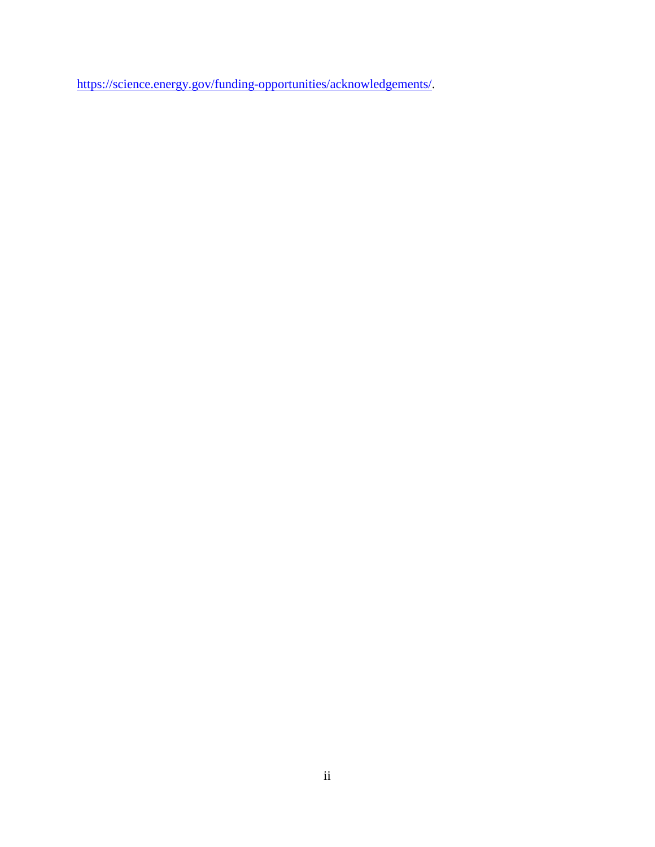[https://science.energy.gov/funding-opportunities/acknowledgements/.](http://science.energy.gov/funding-opportunities/acknowledgements/)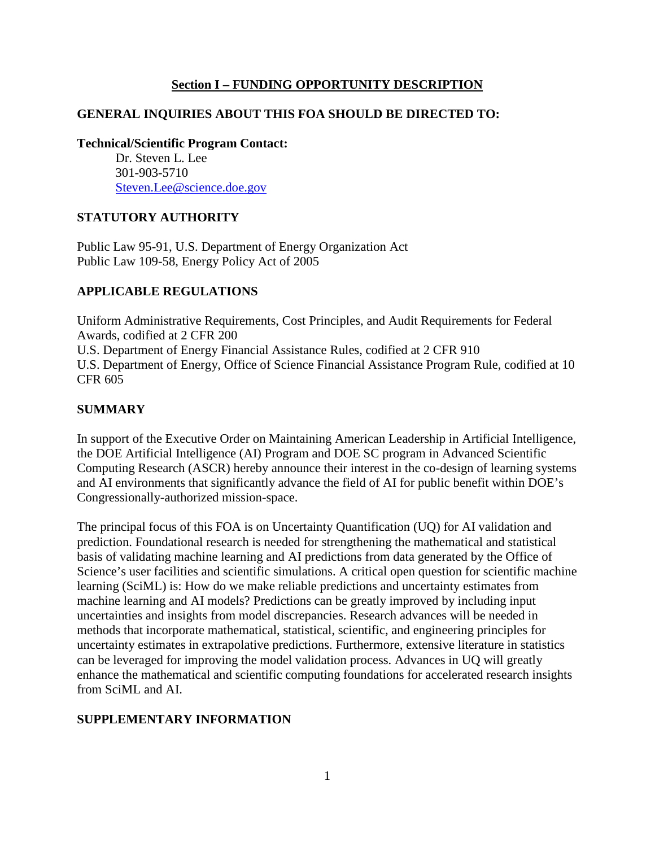#### **Section I – FUNDING OPPORTUNITY DESCRIPTION**

### <span id="page-5-0"></span>**GENERAL INQUIRIES ABOUT THIS FOA SHOULD BE DIRECTED TO:**

**Technical/Scientific Program Contact:**

Dr. Steven L. Lee 301-903-5710 [Steven.Lee@science.doe.gov](mailto:Steven.Lee@science.doe.gov)

#### **STATUTORY AUTHORITY**

Public Law 95-91, U.S. Department of Energy Organization Act Public Law 109-58, Energy Policy Act of 2005

#### **APPLICABLE REGULATIONS**

Uniform Administrative Requirements, Cost Principles, and Audit Requirements for Federal Awards, codified at 2 CFR 200 U.S. Department of Energy Financial Assistance Rules, codified at 2 CFR 910 U.S. Department of Energy, Office of Science Financial Assistance Program Rule, codified at 10 CFR 605

#### **SUMMARY**

In support of the Executive Order on Maintaining American Leadership in Artificial Intelligence, the DOE Artificial Intelligence (AI) Program and DOE SC program in Advanced Scientific Computing Research (ASCR) hereby announce their interest in the co-design of learning systems and AI environments that significantly advance the field of AI for public benefit within DOE's Congressionally-authorized mission-space.

The principal focus of this FOA is on Uncertainty Quantification (UQ) for AI validation and prediction. Foundational research is needed for strengthening the mathematical and statistical basis of validating machine learning and AI predictions from data generated by the Office of Science's user facilities and scientific simulations. A critical open question for scientific machine learning (SciML) is: How do we make reliable predictions and uncertainty estimates from machine learning and AI models? Predictions can be greatly improved by including input uncertainties and insights from model discrepancies. Research advances will be needed in methods that incorporate mathematical, statistical, scientific, and engineering principles for uncertainty estimates in extrapolative predictions. Furthermore, extensive literature in statistics can be leveraged for improving the model validation process. Advances in UQ will greatly enhance the mathematical and scientific computing foundations for accelerated research insights from SciML and AI.

#### **SUPPLEMENTARY INFORMATION**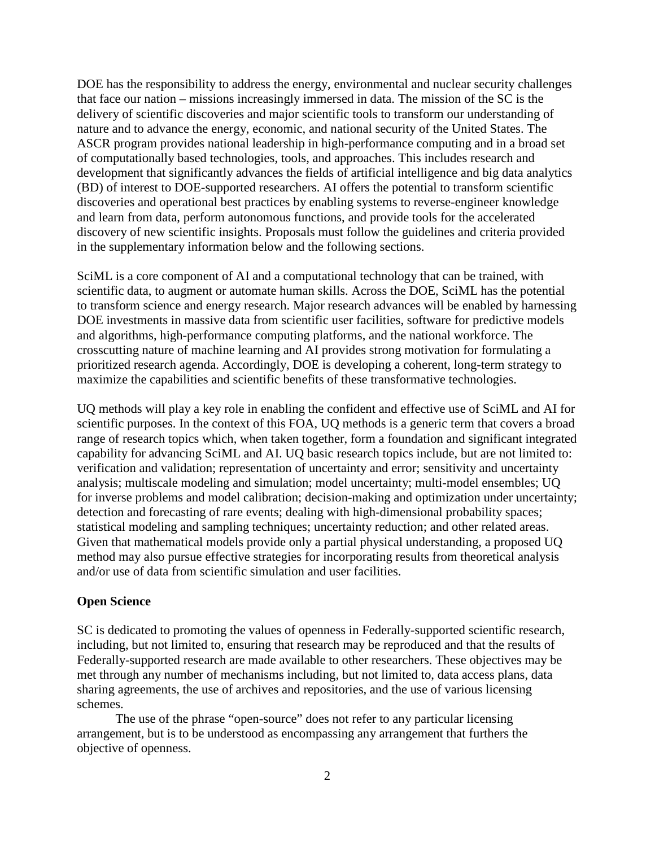DOE has the responsibility to address the energy, environmental and nuclear security challenges that face our nation – missions increasingly immersed in data. The mission of the SC is the delivery of scientific discoveries and major scientific tools to transform our understanding of nature and to advance the energy, economic, and national security of the United States. The ASCR program provides national leadership in high-performance computing and in a broad set of computationally based technologies, tools, and approaches. This includes research and development that significantly advances the fields of artificial intelligence and big data analytics (BD) of interest to DOE-supported researchers. AI offers the potential to transform scientific discoveries and operational best practices by enabling systems to reverse-engineer knowledge and learn from data, perform autonomous functions, and provide tools for the accelerated discovery of new scientific insights. Proposals must follow the guidelines and criteria provided in the supplementary information below and the following sections.

SciML is a core component of AI and a computational technology that can be trained, with scientific data, to augment or automate human skills. Across the DOE, SciML has the potential to transform science and energy research. Major research advances will be enabled by harnessing DOE investments in massive data from scientific user facilities, software for predictive models and algorithms, high-performance computing platforms, and the national workforce. The crosscutting nature of machine learning and AI provides strong motivation for formulating a prioritized research agenda. Accordingly, DOE is developing a coherent, long-term strategy to maximize the capabilities and scientific benefits of these transformative technologies.

UQ methods will play a key role in enabling the confident and effective use of SciML and AI for scientific purposes. In the context of this FOA, UQ methods is a generic term that covers a broad range of research topics which, when taken together, form a foundation and significant integrated capability for advancing SciML and AI. UQ basic research topics include, but are not limited to: verification and validation; representation of uncertainty and error; sensitivity and uncertainty analysis; multiscale modeling and simulation; model uncertainty; multi-model ensembles; UQ for inverse problems and model calibration; decision-making and optimization under uncertainty; detection and forecasting of rare events; dealing with high-dimensional probability spaces; statistical modeling and sampling techniques; uncertainty reduction; and other related areas. Given that mathematical models provide only a partial physical understanding, a proposed UQ method may also pursue effective strategies for incorporating results from theoretical analysis and/or use of data from scientific simulation and user facilities.

#### **Open Science**

SC is dedicated to promoting the values of openness in Federally-supported scientific research, including, but not limited to, ensuring that research may be reproduced and that the results of Federally-supported research are made available to other researchers. These objectives may be met through any number of mechanisms including, but not limited to, data access plans, data sharing agreements, the use of archives and repositories, and the use of various licensing schemes.

The use of the phrase "open-source" does not refer to any particular licensing arrangement, but is to be understood as encompassing any arrangement that furthers the objective of openness.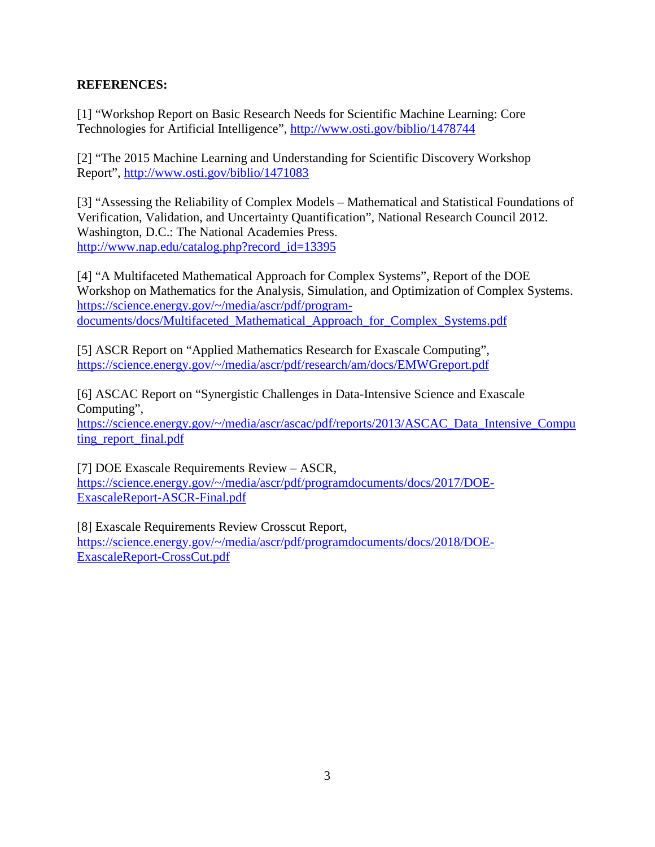### **REFERENCES:**

[1] "Workshop Report on Basic Research Needs for Scientific Machine Learning: Core Technologies for Artificial Intelligence",<http://www.osti.gov/biblio/1478744>

[2] "The 2015 Machine Learning and Understanding for Scientific Discovery Workshop Report",<http://www.osti.gov/biblio/1471083>

[3] "Assessing the Reliability of Complex Models – Mathematical and Statistical Foundations of Verification, Validation, and Uncertainty Quantification", National Research Council 2012. Washington, D.C.: The National Academies Press. [http://www.nap.edu/catalog.php?record\\_id=13395](http://www.nap.edu/catalog.php?record_id=13395)

[4] "A Multifaceted Mathematical Approach for Complex Systems", Report of the DOE Workshop on Mathematics for the Analysis, Simulation, and Optimization of Complex Systems. [https://science.energy.gov/~/media/ascr/pdf/program](https://science.energy.gov/%7E/media/ascr/pdf/program-documents/docs/Multifaceted_Mathematical_Approach_for_Complex_Systems.pdf)[documents/docs/Multifaceted\\_Mathematical\\_Approach\\_for\\_Complex\\_Systems.pdf](https://science.energy.gov/%7E/media/ascr/pdf/program-documents/docs/Multifaceted_Mathematical_Approach_for_Complex_Systems.pdf)

[5] ASCR Report on "Applied Mathematics Research for Exascale Computing", [https://science.energy.gov/~/media/ascr/pdf/research/am/docs/EMWGreport.pdf](https://science.energy.gov/%7E/media/ascr/pdf/research/am/docs/EMWGreport.pdf)

[6] ASCAC Report on "Synergistic Challenges in Data-Intensive Science and Exascale Computing",

[https://science.energy.gov/~/media/ascr/ascac/pdf/reports/2013/ASCAC\\_Data\\_Intensive\\_Compu](https://science.energy.gov/%7E/media/ascr/ascac/pdf/reports/2013/ASCAC_Data_Intensive_Computing_report_final.pdf) ting report final.pdf

[7] DOE Exascale Requirements Review – ASCR, [https://science.energy.gov/~/media/ascr/pdf/programdocuments/docs/2017/DOE-](https://science.energy.gov/%7E/media/ascr/pdf/programdocuments/docs/2017/DOE-ExascaleReport-ASCR-Final.pdf)[ExascaleReport-ASCR-Final.pdf](https://science.energy.gov/%7E/media/ascr/pdf/programdocuments/docs/2017/DOE-ExascaleReport-ASCR-Final.pdf)

[8] Exascale Requirements Review Crosscut Report, [https://science.energy.gov/~/media/ascr/pdf/programdocuments/docs/2018/DOE-](https://science.energy.gov/%7E/media/ascr/pdf/programdocuments/docs/2018/DOE-ExascaleReport-CrossCut.pdf)[ExascaleReport-CrossCut.pdf](https://science.energy.gov/%7E/media/ascr/pdf/programdocuments/docs/2018/DOE-ExascaleReport-CrossCut.pdf)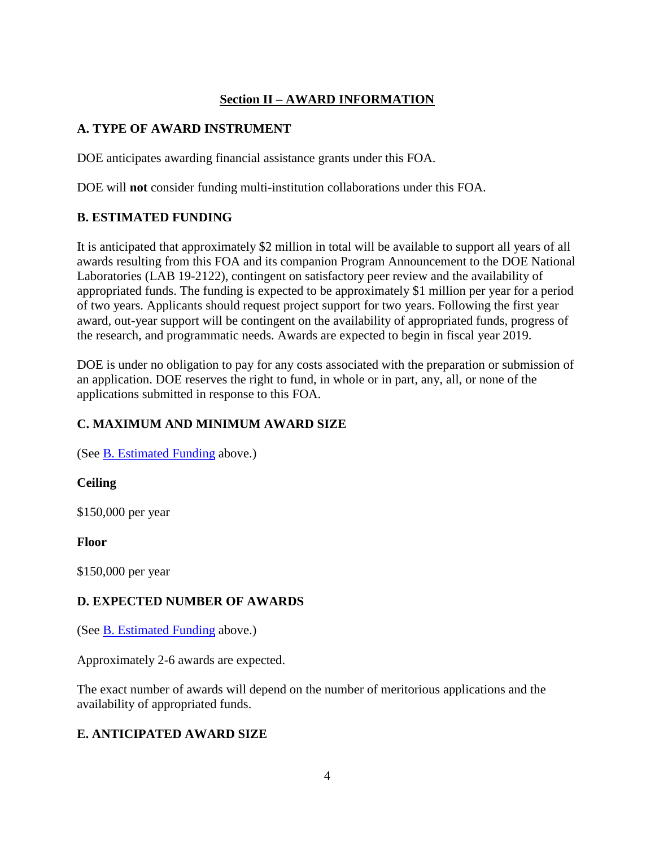# **Section II – AWARD INFORMATION**

### <span id="page-8-1"></span><span id="page-8-0"></span>**A. TYPE OF AWARD INSTRUMENT**

DOE anticipates awarding financial assistance grants under this FOA.

DOE will **not** consider funding multi-institution collaborations under this FOA.

# <span id="page-8-2"></span>**B. ESTIMATED FUNDING**

It is anticipated that approximately \$2 million in total will be available to support all years of all awards resulting from this FOA and its companion Program Announcement to the DOE National Laboratories (LAB 19-2122), contingent on satisfactory peer review and the availability of appropriated funds. The funding is expected to be approximately \$1 million per year for a period of two years. Applicants should request project support for two years. Following the first year award, out-year support will be contingent on the availability of appropriated funds, progress of the research, and programmatic needs. Awards are expected to begin in fiscal year 2019.

DOE is under no obligation to pay for any costs associated with the preparation or submission of an application. DOE reserves the right to fund, in whole or in part, any, all, or none of the applications submitted in response to this FOA.

# <span id="page-8-3"></span>**C. MAXIMUM AND MINIMUM AWARD SIZE**

(See B. [Estimated](#page-8-2) Funding above.)

**Ceiling**

\$150,000 per year

**Floor**

\$150,000 per year

# <span id="page-8-4"></span>**D. EXPECTED NUMBER OF AWARDS**

(See B. [Estimated](#page-8-2) Funding above.)

Approximately 2-6 awards are expected.

The exact number of awards will depend on the number of meritorious applications and the availability of appropriated funds.

# <span id="page-8-5"></span>**E. ANTICIPATED AWARD SIZE**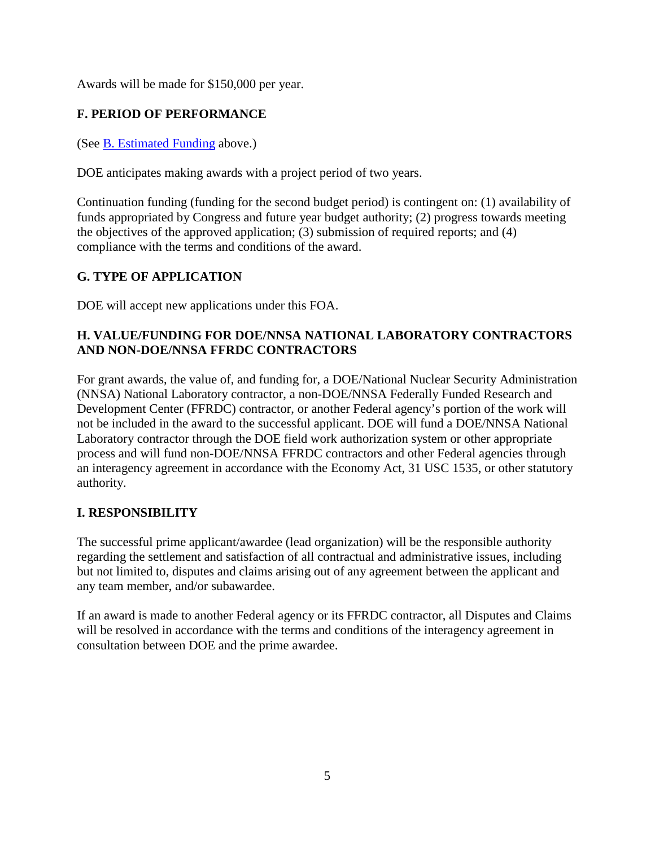Awards will be made for \$150,000 per year.

# <span id="page-9-0"></span>**F. PERIOD OF PERFORMANCE**

(See B. [Estimated](#page-8-2) Funding above.)

DOE anticipates making awards with a project period of two years.

Continuation funding (funding for the second budget period) is contingent on: (1) availability of funds appropriated by Congress and future year budget authority; (2) progress towards meeting the objectives of the approved application; (3) submission of required reports; and (4) compliance with the terms and conditions of the award.

# <span id="page-9-1"></span>**G. TYPE OF APPLICATION**

DOE will accept new applications under this FOA.

### <span id="page-9-2"></span>**H. VALUE/FUNDING FOR DOE/NNSA NATIONAL LABORATORY CONTRACTORS AND NON-DOE/NNSA FFRDC CONTRACTORS**

For grant awards, the value of, and funding for, a DOE/National Nuclear Security Administration (NNSA) National Laboratory contractor, a non-DOE/NNSA Federally Funded Research and Development Center (FFRDC) contractor, or another Federal agency's portion of the work will not be included in the award to the successful applicant. DOE will fund a DOE/NNSA National Laboratory contractor through the DOE field work authorization system or other appropriate process and will fund non-DOE/NNSA FFRDC contractors and other Federal agencies through an interagency agreement in accordance with the Economy Act, 31 USC 1535, or other statutory authority.

# <span id="page-9-3"></span>**I. RESPONSIBILITY**

The successful prime applicant/awardee (lead organization) will be the responsible authority regarding the settlement and satisfaction of all contractual and administrative issues, including but not limited to, disputes and claims arising out of any agreement between the applicant and any team member, and/or subawardee.

If an award is made to another Federal agency or its FFRDC contractor, all Disputes and Claims will be resolved in accordance with the terms and conditions of the interagency agreement in consultation between DOE and the prime awardee.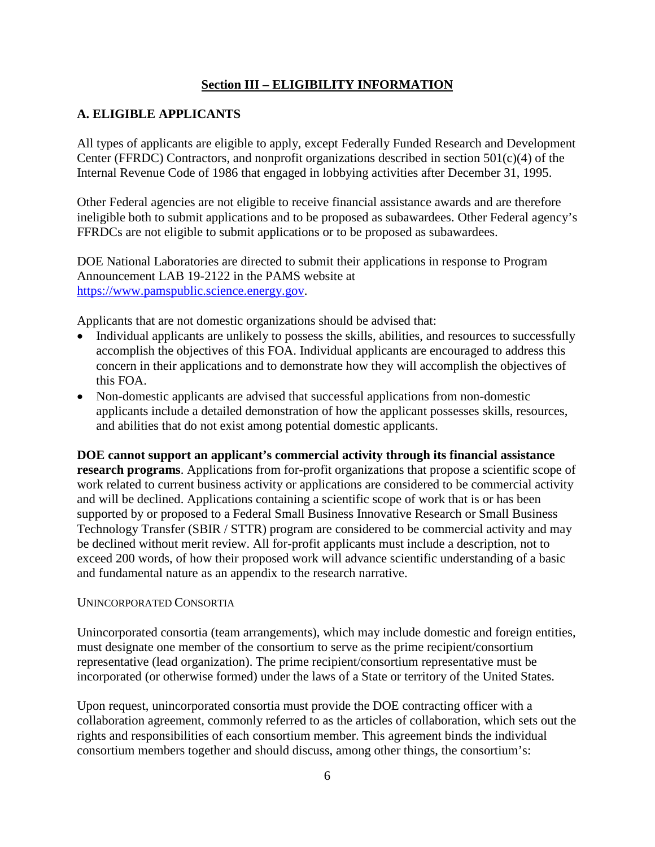### **Section III – ELIGIBILITY INFORMATION**

### <span id="page-10-1"></span><span id="page-10-0"></span>**A. ELIGIBLE APPLICANTS**

All types of applicants are eligible to apply, except Federally Funded Research and Development Center (FFRDC) Contractors, and nonprofit organizations described in section 501(c)(4) of the Internal Revenue Code of 1986 that engaged in lobbying activities after December 31, 1995.

Other Federal agencies are not eligible to receive financial assistance awards and are therefore ineligible both to submit applications and to be proposed as subawardees. Other Federal agency's FFRDCs are not eligible to submit applications or to be proposed as subawardees.

DOE National Laboratories are directed to submit their applications in response to Program Announcement LAB 19-2122 in the PAMS website at [https://www.pamspublic.science.energy.gov.](https://www.pamspublic.science.energy.gov/)

Applicants that are not domestic organizations should be advised that:

- Individual applicants are unlikely to possess the skills, abilities, and resources to successfully accomplish the objectives of this FOA. Individual applicants are encouraged to address this concern in their applications and to demonstrate how they will accomplish the objectives of this FOA.
- Non-domestic applicants are advised that successful applications from non-domestic applicants include a detailed demonstration of how the applicant possesses skills, resources, and abilities that do not exist among potential domestic applicants.

**DOE cannot support an applicant's commercial activity through its financial assistance research programs**. Applications from for-profit organizations that propose a scientific scope of work related to current business activity or applications are considered to be commercial activity and will be declined. Applications containing a scientific scope of work that is or has been supported by or proposed to a Federal Small Business Innovative Research or Small Business Technology Transfer (SBIR / STTR) program are considered to be commercial activity and may be declined without merit review. All for-profit applicants must include a description, not to exceed 200 words, of how their proposed work will advance scientific understanding of a basic and fundamental nature as an appendix to the research narrative.

#### UNINCORPORATED CONSORTIA

Unincorporated consortia (team arrangements), which may include domestic and foreign entities, must designate one member of the consortium to serve as the prime recipient/consortium representative (lead organization). The prime recipient/consortium representative must be incorporated (or otherwise formed) under the laws of a State or territory of the United States.

Upon request, unincorporated consortia must provide the DOE contracting officer with a collaboration agreement, commonly referred to as the articles of collaboration, which sets out the rights and responsibilities of each consortium member. This agreement binds the individual consortium members together and should discuss, among other things, the consortium's: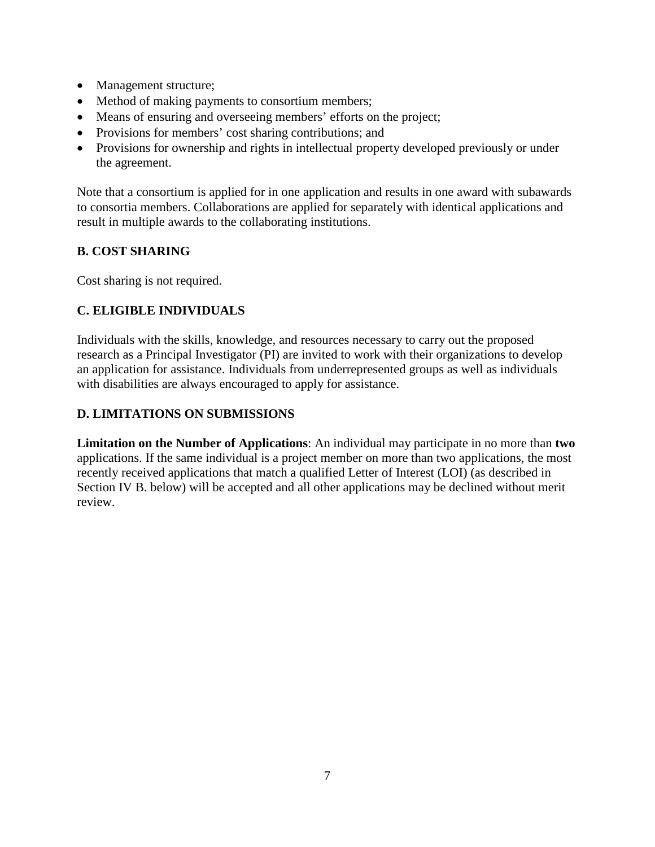- Management structure;
- Method of making payments to consortium members;
- Means of ensuring and overseeing members' efforts on the project;
- Provisions for members' cost sharing contributions; and
- Provisions for ownership and rights in intellectual property developed previously or under the agreement.

Note that a consortium is applied for in one application and results in one award with subawards to consortia members. Collaborations are applied for separately with identical applications and result in multiple awards to the collaborating institutions.

### <span id="page-11-0"></span>**B. COST SHARING**

Cost sharing is not required.

# <span id="page-11-1"></span>**C. ELIGIBLE INDIVIDUALS**

Individuals with the skills, knowledge, and resources necessary to carry out the proposed research as a Principal Investigator (PI) are invited to work with their organizations to develop an application for assistance. Individuals from underrepresented groups as well as individuals with disabilities are always encouraged to apply for assistance.

# <span id="page-11-2"></span>**D. LIMITATIONS ON SUBMISSIONS**

**Limitation on the Number of Applications**: An individual may participate in no more than **two** applications. If the same individual is a project member on more than two applications, the most recently received applications that match a qualified Letter of Interest (LOI) (as described in Section IV B. below) will be accepted and all other applications may be declined without merit review.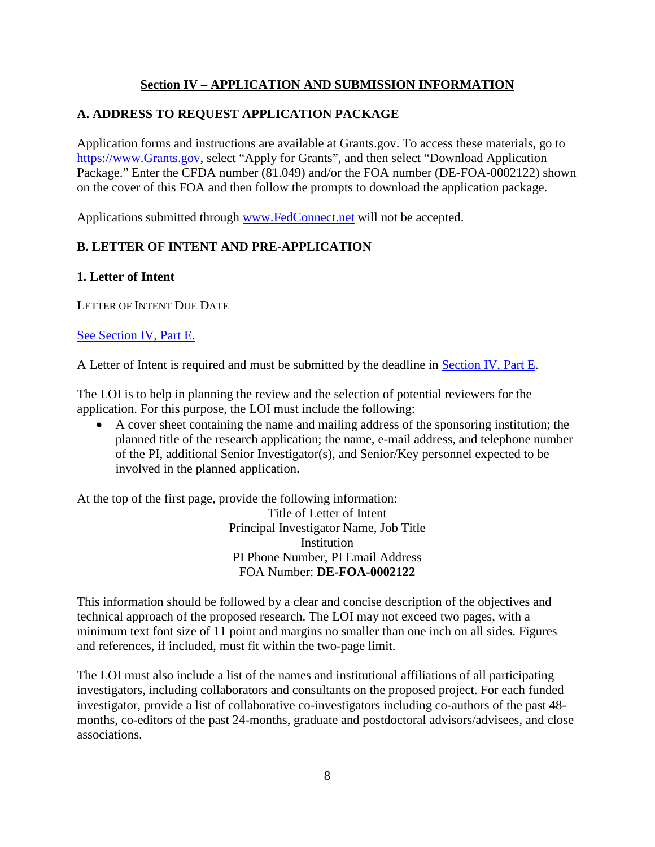### **Section IV – APPLICATION AND SUBMISSION INFORMATION**

### <span id="page-12-1"></span><span id="page-12-0"></span>**A. ADDRESS TO REQUEST APPLICATION PACKAGE**

Application forms and instructions are available at Grants.gov. To access these materials, go to [https://www.Grants.gov,](https://www.grants.gov/) select "Apply for Grants", and then select "Download Application Package." Enter the CFDA number (81.049) and/or the FOA number (DE-FOA-0002122) shown on the cover of this FOA and then follow the prompts to download the application package.

Applications submitted through [www.FedConnect.net](https://www.fedconnect.net/) will not be accepted.

# <span id="page-12-2"></span>**B. LETTER OF INTENT AND PRE-APPLICATION**

#### **1. Letter of Intent**

LETTER OF INTENT DUE DATE

### See [Section](#page-32-3) IV, Part E.

A Letter of Intent is required and must be submitted by the deadline in [Section](#page-32-3) IV, Part E.

The LOI is to help in planning the review and the selection of potential reviewers for the application. For this purpose, the LOI must include the following:

• A cover sheet containing the name and mailing address of the sponsoring institution; the planned title of the research application; the name, e-mail address, and telephone number of the PI, additional Senior Investigator(s), and Senior/Key personnel expected to be involved in the planned application.

At the top of the first page, provide the following information: Title of Letter of Intent Principal Investigator Name, Job Title **Institution** PI Phone Number, PI Email Address FOA Number: **DE-FOA-0002122**

This information should be followed by a clear and concise description of the objectives and technical approach of the proposed research. The LOI may not exceed two pages, with a minimum text font size of 11 point and margins no smaller than one inch on all sides. Figures and references, if included, must fit within the two-page limit.

The LOI must also include a list of the names and institutional affiliations of all participating investigators, including collaborators and consultants on the proposed project. For each funded investigator, provide a list of collaborative co-investigators including co-authors of the past 48 months, co-editors of the past 24-months, graduate and postdoctoral advisors/advisees, and close associations.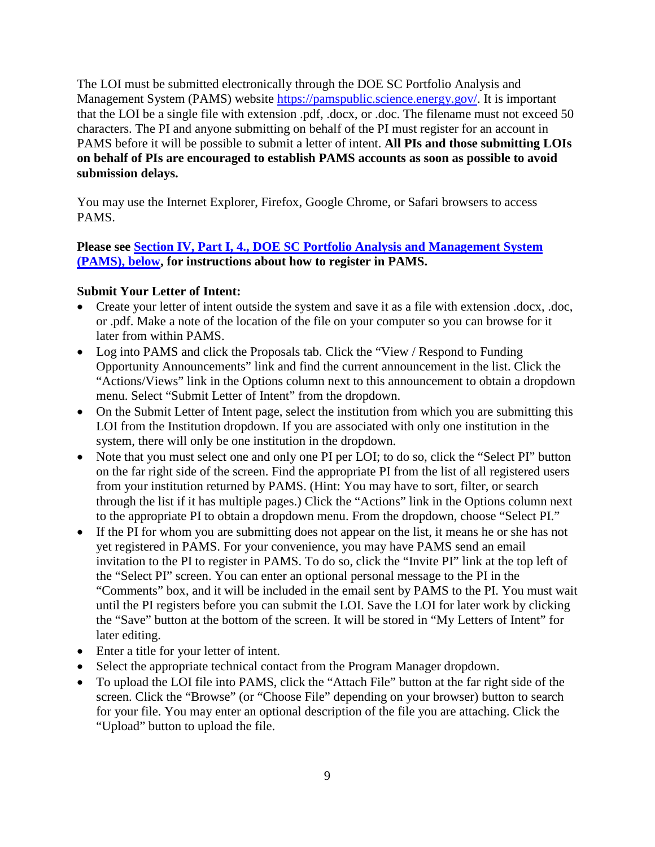The LOI must be submitted electronically through the DOE SC Portfolio Analysis and Management System (PAMS) website [https://pamspublic.science.energy.gov/.](https://pamspublic.science.energy.gov/) It is important that the LOI be a single file with extension .pdf, .docx, or .doc. The filename must not exceed 50 characters. The PI and anyone submitting on behalf of the PI must register for an account in PAMS before it will be possible to submit a letter of intent. **All PIs and those submitting LOIs on behalf of PIs are encouraged to establish PAMS accounts as soon as possible to avoid submission delays.**

You may use the Internet Explorer, Firefox, Google Chrome, or Safari browsers to access PAMS.

**Please see [Section IV, Part I, 4., DOE SC Portfolio Analysis and Management System](#page-34-0)  [\(PAMS\), below,](#page-34-0) for instructions about how to register in PAMS.**

### **Submit Your Letter of Intent:**

- Create your letter of intent outside the system and save it as a file with extension .docx, .doc, or .pdf. Make a note of the location of the file on your computer so you can browse for it later from within PAMS.
- Log into PAMS and click the Proposals tab. Click the "View / Respond to Funding" Opportunity Announcements" link and find the current announcement in the list. Click the "Actions/Views" link in the Options column next to this announcement to obtain a dropdown menu. Select "Submit Letter of Intent" from the dropdown.
- On the Submit Letter of Intent page, select the institution from which you are submitting this LOI from the Institution dropdown. If you are associated with only one institution in the system, there will only be one institution in the dropdown.
- Note that you must select one and only one PI per LOI; to do so, click the "Select PI" button on the far right side of the screen. Find the appropriate PI from the list of all registered users from your institution returned by PAMS. (Hint: You may have to sort, filter, or search through the list if it has multiple pages.) Click the "Actions" link in the Options column next to the appropriate PI to obtain a dropdown menu. From the dropdown, choose "Select PI."
- If the PI for whom you are submitting does not appear on the list, it means he or she has not yet registered in PAMS. For your convenience, you may have PAMS send an email invitation to the PI to register in PAMS. To do so, click the "Invite PI" link at the top left of the "Select PI" screen. You can enter an optional personal message to the PI in the "Comments" box, and it will be included in the email sent by PAMS to the PI. You must wait until the PI registers before you can submit the LOI. Save the LOI for later work by clicking the "Save" button at the bottom of the screen. It will be stored in "My Letters of Intent" for later editing.
- Enter a title for your letter of intent.
- Select the appropriate technical contact from the Program Manager dropdown.
- To upload the LOI file into PAMS, click the "Attach File" button at the far right side of the screen. Click the "Browse" (or "Choose File" depending on your browser) button to search for your file. You may enter an optional description of the file you are attaching. Click the "Upload" button to upload the file.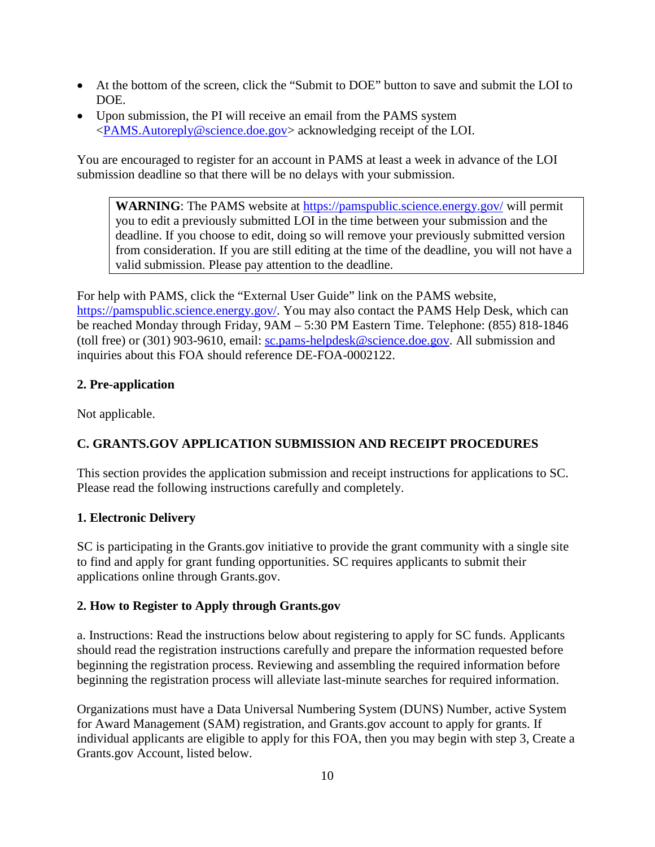- At the bottom of the screen, click the "Submit to DOE" button to save and submit the LOI to DOE.
- Upon submission, the PI will receive an email from the PAMS system [<PAMS.Autoreply@science.doe.gov>](mailto:PAMS.Autoreply@science.doe.gov) acknowledging receipt of the LOI.

You are encouraged to register for an account in PAMS at least a week in advance of the LOI submission deadline so that there will be no delays with your submission.

**WARNING**: The PAMS website at<https://pamspublic.science.energy.gov/> will permit you to edit a previously submitted LOI in the time between your submission and the deadline. If you choose to edit, doing so will remove your previously submitted version from consideration. If you are still editing at the time of the deadline, you will not have a valid submission. Please pay attention to the deadline.

For help with PAMS, click the "External User Guide" link on the PAMS website, [https://pamspublic.science.energy.gov/.](https://pamspublic.science.energy.gov/) You may also contact the PAMS Help Desk, which can be reached Monday through Friday, 9AM – 5:30 PM Eastern Time. Telephone: (855) 818-1846 (toll free) or (301) 903-9610, email: [sc.pams-helpdesk@science.doe.gov.](mailto:sc.pams-helpdesk@science.doe.gov) All submission and inquiries about this FOA should reference DE-FOA-0002122.

### **2. Pre-application**

Not applicable.

# <span id="page-14-0"></span>**C. GRANTS.GOV APPLICATION SUBMISSION AND RECEIPT PROCEDURES**

This section provides the application submission and receipt instructions for applications to SC. Please read the following instructions carefully and completely.

### **1. Electronic Delivery**

SC is participating in the Grants.gov initiative to provide the grant community with a single site to find and apply for grant funding opportunities. SC requires applicants to submit their applications online through Grants.gov.

### **2. How to Register to Apply through Grants.gov**

a. Instructions: Read the instructions below about registering to apply for SC funds. Applicants should read the registration instructions carefully and prepare the information requested before beginning the registration process. Reviewing and assembling the required information before beginning the registration process will alleviate last-minute searches for required information.

Organizations must have a Data Universal Numbering System (DUNS) Number, active System for Award Management (SAM) registration, and Grants.gov account to apply for grants. If individual applicants are eligible to apply for this FOA, then you may begin with step 3, Create a Grants.gov Account, listed below.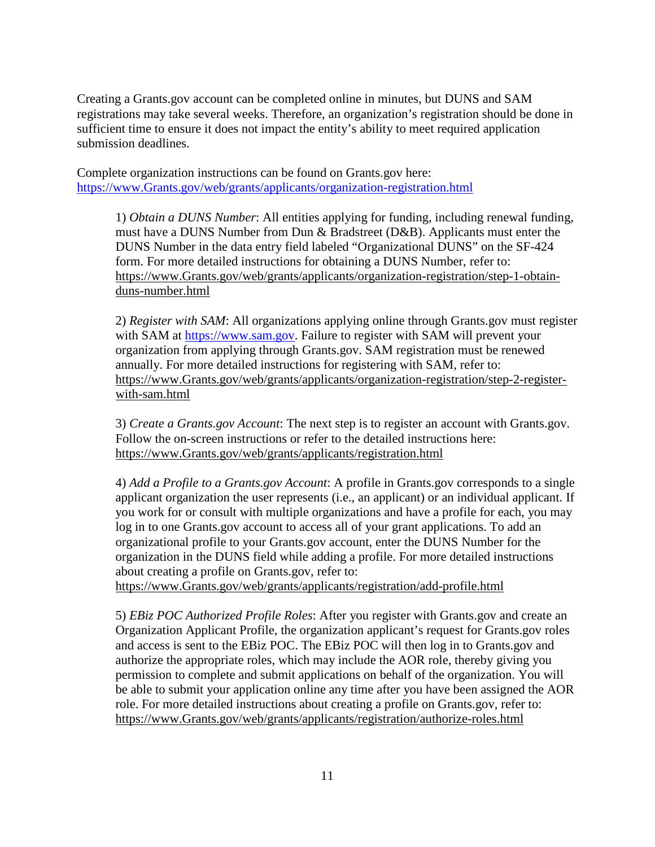Creating a Grants.gov account can be completed online in minutes, but DUNS and SAM registrations may take several weeks. Therefore, an organization's registration should be done in sufficient time to ensure it does not impact the entity's ability to meet required application submission deadlines.

Complete organization instructions can be found on Grants.gov here: [https://www.Grants.gov/web/grants/applicants/organization-registration.html](https://www.grants.gov/web/grants/applicants/organization-registration.html)

1) *Obtain a DUNS Number*: All entities applying for funding, including renewal funding, must have a DUNS Number from Dun & Bradstreet (D&B). Applicants must enter the DUNS Number in the data entry field labeled "Organizational DUNS" on the SF-424 form. For more detailed instructions for obtaining a DUNS Number, refer to: [https://www.Grants.gov/web/grants/applicants/organization-registration/step-1-obtain](https://www.grants.gov/web/grants/applicants/organization-registration/step-1-obtain-duns-number.html)[duns-number.html](https://www.grants.gov/web/grants/applicants/organization-registration/step-1-obtain-duns-number.html)

2) *Register with SAM*: All organizations applying online through Grants.gov must register with SAM at [https://www.sam.gov.](https://www.sam.gov/) Failure to register with SAM will prevent your organization from applying through Grants.gov. SAM registration must be renewed annually. For more detailed instructions for registering with SAM, refer to: [https://www.Grants.gov/web/grants/applicants/organization-registration/step-2-register](https://www.grants.gov/web/grants/applicants/organization-registration/step-2-register-with-sam.html)[with-sam.html](https://www.grants.gov/web/grants/applicants/organization-registration/step-2-register-with-sam.html)

3) *Create a Grants.gov Account*: The next step is to register an account with Grants.gov. Follow the on-screen instructions or refer to the detailed instructions here: [https://www.Grants.gov/web/grants/applicants/registration.html](https://www.grants.gov/web/grants/applicants/registration.html)

4) *Add a Profile to a Grants.gov Account*: A profile in Grants.gov corresponds to a single applicant organization the user represents (i.e., an applicant) or an individual applicant. If you work for or consult with multiple organizations and have a profile for each, you may log in to one Grants.gov account to access all of your grant applications. To add an organizational profile to your Grants.gov account, enter the DUNS Number for the organization in the DUNS field while adding a profile. For more detailed instructions about creating a profile on Grants.gov, refer to:

[https://www.Grants.gov/web/grants/applicants/registration/add-profile.html](https://www.grants.gov/web/grants/applicants/registration/add-profile.html)

5) *EBiz POC Authorized Profile Roles*: After you register with Grants.gov and create an Organization Applicant Profile, the organization applicant's request for Grants.gov roles and access is sent to the EBiz POC. The EBiz POC will then log in to Grants.gov and authorize the appropriate roles, which may include the AOR role, thereby giving you permission to complete and submit applications on behalf of the organization. You will be able to submit your application online any time after you have been assigned the AOR role. For more detailed instructions about creating a profile on Grants.gov, refer to: [https://www.Grants.gov/web/grants/applicants/registration/authorize-roles.html](https://www.grants.gov/web/grants/applicants/registration/authorize-roles.html)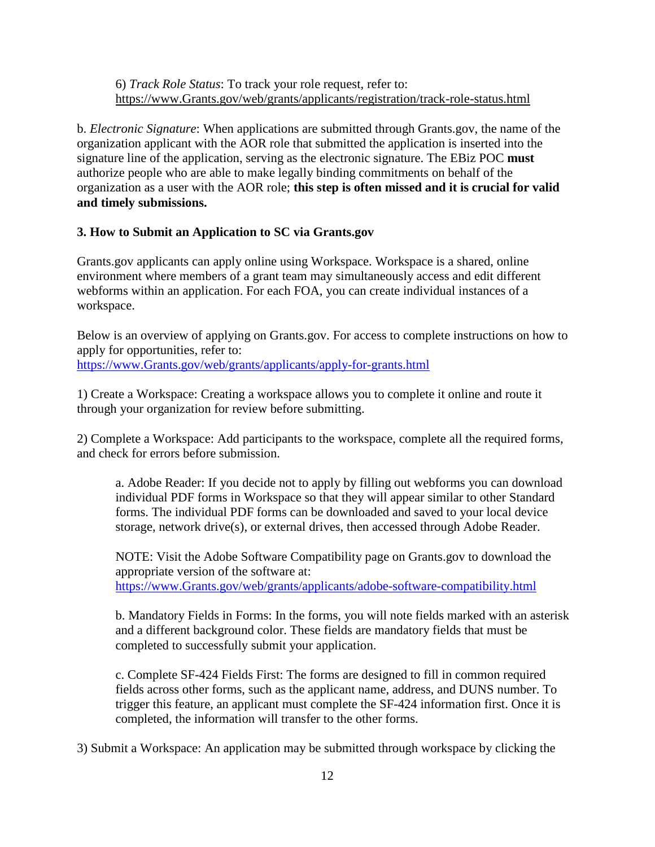6) *Track Role Status*: To track your role request, refer to: [https://www.Grants.gov/web/grants/applicants/registration/track-role-status.html](https://www.grants.gov/web/grants/applicants/registration/track-role-status.html)

b. *Electronic Signature*: When applications are submitted through Grants.gov, the name of the organization applicant with the AOR role that submitted the application is inserted into the signature line of the application, serving as the electronic signature. The EBiz POC **must** authorize people who are able to make legally binding commitments on behalf of the organization as a user with the AOR role; **this step is often missed and it is crucial for valid and timely submissions.**

#### **3. How to Submit an Application to SC via Grants.gov**

Grants.gov applicants can apply online using Workspace. Workspace is a shared, online environment where members of a grant team may simultaneously access and edit different webforms within an application. For each FOA, you can create individual instances of a workspace.

Below is an overview of applying on Grants.gov. For access to complete instructions on how to apply for opportunities, refer to: [https://www.Grants.gov/web/grants/applicants/apply-for-grants.html](https://www.grants.gov/web/grants/applicants/apply-for-grants.html)

1) Create a Workspace: Creating a workspace allows you to complete it online and route it through your organization for review before submitting.

2) Complete a Workspace: Add participants to the workspace, complete all the required forms, and check for errors before submission.

a. Adobe Reader: If you decide not to apply by filling out webforms you can download individual PDF forms in Workspace so that they will appear similar to other Standard forms. The individual PDF forms can be downloaded and saved to your local device storage, network drive(s), or external drives, then accessed through Adobe Reader.

NOTE: Visit the Adobe Software Compatibility page on Grants.gov to download the appropriate version of the software at: [https://www.Grants.gov/web/grants/applicants/adobe-software-compatibility.html](https://www.grants.gov/web/grants/applicants/adobe-software-compatibility.html)

b. Mandatory Fields in Forms: In the forms, you will note fields marked with an asterisk and a different background color. These fields are mandatory fields that must be completed to successfully submit your application.

c. Complete SF-424 Fields First: The forms are designed to fill in common required fields across other forms, such as the applicant name, address, and DUNS number. To trigger this feature, an applicant must complete the SF-424 information first. Once it is completed, the information will transfer to the other forms.

3) Submit a Workspace: An application may be submitted through workspace by clicking the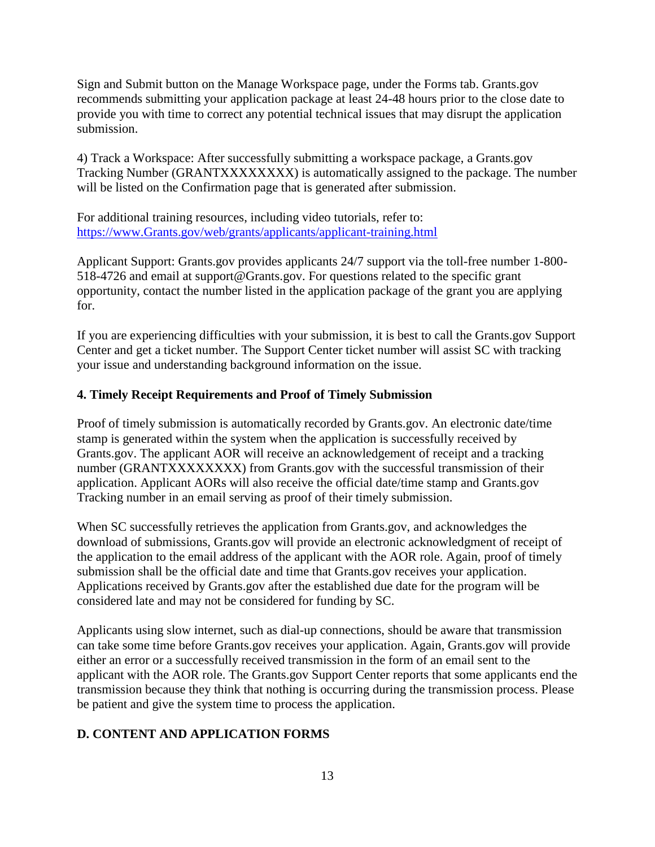Sign and Submit button on the Manage Workspace page, under the Forms tab. Grants.gov recommends submitting your application package at least 24-48 hours prior to the close date to provide you with time to correct any potential technical issues that may disrupt the application submission.

4) Track a Workspace: After successfully submitting a workspace package, a Grants.gov Tracking Number (GRANTXXXXXXXX) is automatically assigned to the package. The number will be listed on the Confirmation page that is generated after submission.

For additional training resources, including video tutorials, refer to: [https://www.Grants.gov/web/grants/applicants/applicant-training.html](https://www.grants.gov/web/grants/applicants/applicant-training.html)

Applicant Support: Grants.gov provides applicants 24/7 support via the toll-free number 1-800- 518-4726 and email at support@Grants.gov. For questions related to the specific grant opportunity, contact the number listed in the application package of the grant you are applying for.

If you are experiencing difficulties with your submission, it is best to call the Grants.gov Support Center and get a ticket number. The Support Center ticket number will assist SC with tracking your issue and understanding background information on the issue.

#### **4. Timely Receipt Requirements and Proof of Timely Submission**

Proof of timely submission is automatically recorded by Grants.gov. An electronic date/time stamp is generated within the system when the application is successfully received by Grants.gov. The applicant AOR will receive an acknowledgement of receipt and a tracking number (GRANTXXXXXXXX) from Grants.gov with the successful transmission of their application. Applicant AORs will also receive the official date/time stamp and Grants.gov Tracking number in an email serving as proof of their timely submission.

When SC successfully retrieves the application from Grants.gov, and acknowledges the download of submissions, Grants.gov will provide an electronic acknowledgment of receipt of the application to the email address of the applicant with the AOR role. Again, proof of timely submission shall be the official date and time that Grants.gov receives your application. Applications received by Grants.gov after the established due date for the program will be considered late and may not be considered for funding by SC.

Applicants using slow internet, such as dial-up connections, should be aware that transmission can take some time before Grants.gov receives your application. Again, Grants.gov will provide either an error or a successfully received transmission in the form of an email sent to the applicant with the AOR role. The Grants.gov Support Center reports that some applicants end the transmission because they think that nothing is occurring during the transmission process. Please be patient and give the system time to process the application.

#### <span id="page-17-0"></span>**D. CONTENT AND APPLICATION FORMS**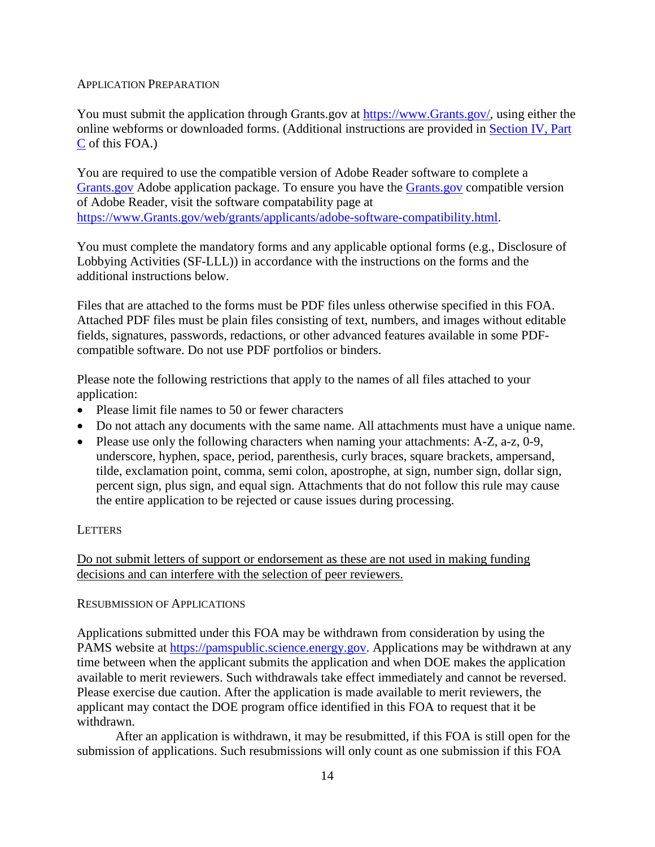#### APPLICATION PREPARATION

You must submit the application through Grants.gov at [https://www.Grants.gov/,](https://www.grants.gov/) using either the online webforms or downloaded forms. (Additional instructions are provided in [Section](#page-14-0) IV, Part [C](#page-14-0) of this FOA.)

You are required to use the compatible version of Adobe Reader software to complete a [Grants.gov](https://www.grants.gov/) Adobe application package. To ensure you have the [Grants.gov](https://www.grants.gov/) compatible version of Adobe Reader, visit the software compatability page at [https://www.Grants.gov/web/grants/applicants/adobe-software-compatibility.html.](http://www.grants.gov/web/grants/applicants/adobe-software-compatibility.html)

You must complete the mandatory forms and any applicable optional forms (e.g., Disclosure of Lobbying Activities (SF-LLL)) in accordance with the instructions on the forms and the additional instructions below.

Files that are attached to the forms must be PDF files unless otherwise specified in this FOA. Attached PDF files must be plain files consisting of text, numbers, and images without editable fields, signatures, passwords, redactions, or other advanced features available in some PDFcompatible software. Do not use PDF portfolios or binders.

Please note the following restrictions that apply to the names of all files attached to your application:

- Please limit file names to 50 or fewer characters
- Do not attach any documents with the same name. All attachments must have a unique name.
- Please use only the following characters when naming your attachments: A-Z, a-z, 0-9, underscore, hyphen, space, period, parenthesis, curly braces, square brackets, ampersand, tilde, exclamation point, comma, semi colon, apostrophe, at sign, number sign, dollar sign, percent sign, plus sign, and equal sign. Attachments that do not follow this rule may cause the entire application to be rejected or cause issues during processing.

#### **LETTERS**

Do not submit letters of support or endorsement as these are not used in making funding decisions and can interfere with the selection of peer reviewers.

#### RESUBMISSION OF APPLICATIONS

Applications submitted under this FOA may be withdrawn from consideration by using the PAMS website at [https://pamspublic.science.energy.gov.](https://pamspublic.science.energy.gov/) Applications may be withdrawn at any time between when the applicant submits the application and when DOE makes the application available to merit reviewers. Such withdrawals take effect immediately and cannot be reversed. Please exercise due caution. After the application is made available to merit reviewers, the applicant may contact the DOE program office identified in this FOA to request that it be withdrawn.

After an application is withdrawn, it may be resubmitted, if this FOA is still open for the submission of applications. Such resubmissions will only count as one submission if this FOA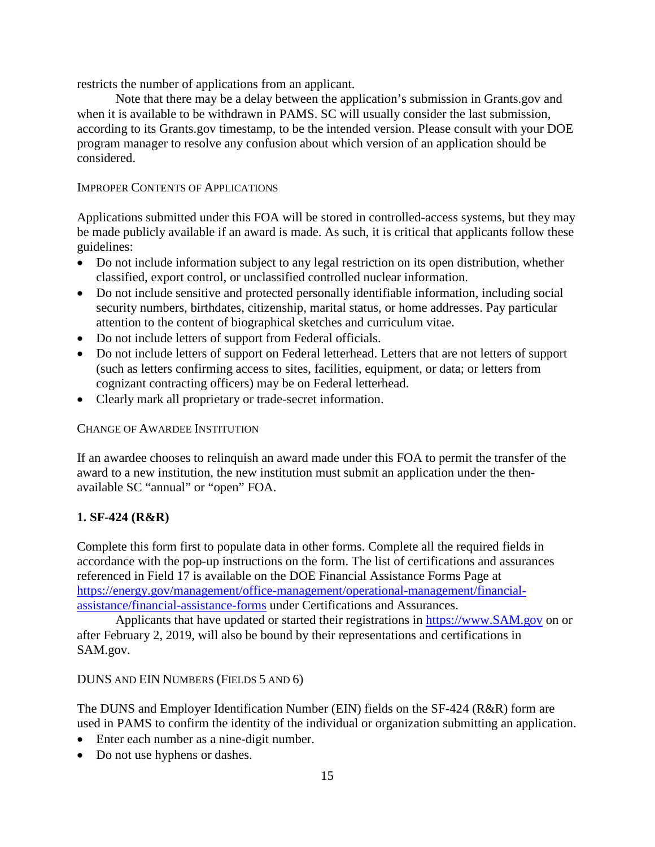restricts the number of applications from an applicant.

Note that there may be a delay between the application's submission in Grants.gov and when it is available to be withdrawn in PAMS. SC will usually consider the last submission, according to its Grants.gov timestamp, to be the intended version. Please consult with your DOE program manager to resolve any confusion about which version of an application should be considered.

#### IMPROPER CONTENTS OF APPLICATIONS

Applications submitted under this FOA will be stored in controlled-access systems, but they may be made publicly available if an award is made. As such, it is critical that applicants follow these guidelines:

- Do not include information subject to any legal restriction on its open distribution, whether classified, export control, or unclassified controlled nuclear information.
- Do not include sensitive and protected personally identifiable information, including social security numbers, birthdates, citizenship, marital status, or home addresses. Pay particular attention to the content of biographical sketches and curriculum vitae.
- Do not include letters of support from Federal officials.
- Do not include letters of support on Federal letterhead. Letters that are not letters of support (such as letters confirming access to sites, facilities, equipment, or data; or letters from cognizant contracting officers) may be on Federal letterhead.
- Clearly mark all proprietary or trade-secret information.

#### CHANGE OF AWARDEE INSTITUTION

If an awardee chooses to relinquish an award made under this FOA to permit the transfer of the award to a new institution, the new institution must submit an application under the thenavailable SC "annual" or "open" FOA.

#### **1. SF-424 (R&R)**

Complete this form first to populate data in other forms. Complete all the required fields in accordance with the pop-up instructions on the form. The list of certifications and assurances referenced in Field 17 is available on the DOE Financial Assistance Forms Page at [https://energy.gov/management/office-management/operational-management/financial](https://energy.gov/management/office-management/operational-management/financial-assistance/financial-assistance-forms)[assistance/financial-assistance-forms](https://energy.gov/management/office-management/operational-management/financial-assistance/financial-assistance-forms) under Certifications and Assurances.

Applicants that have updated or started their registrations in [https://www.SAM.gov](https://www.sam.gov/) on or after February 2, 2019, will also be bound by their representations and certifications in SAM.gov.

#### DUNS AND EIN NUMBERS (FIELDS 5 AND 6)

The DUNS and Employer Identification Number (EIN) fields on the SF-424 (R&R) form are used in PAMS to confirm the identity of the individual or organization submitting an application.

- Enter each number as a nine-digit number.
- Do not use hyphens or dashes.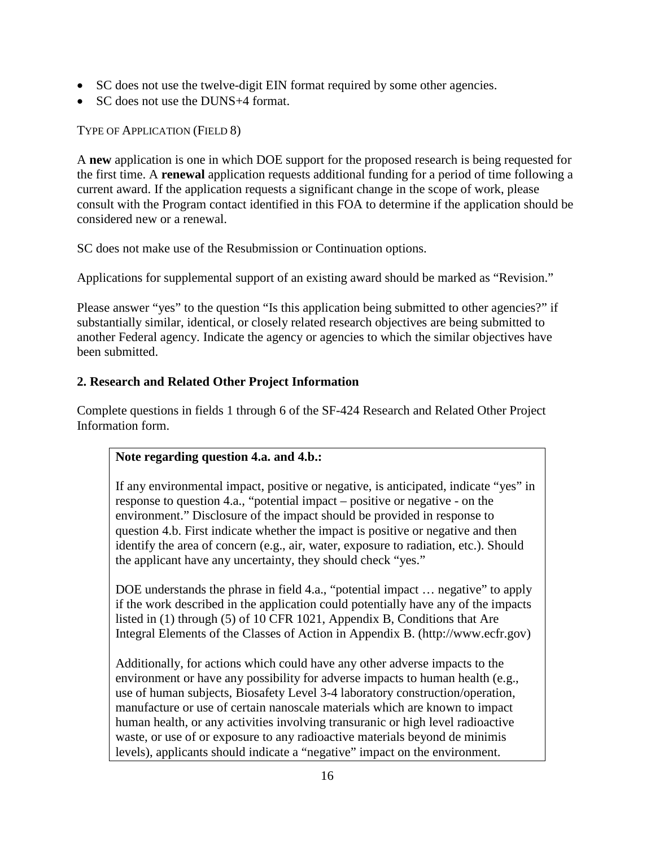- SC does not use the twelve-digit EIN format required by some other agencies.
- SC does not use the DUNS+4 format.

TYPE OF APPLICATION (FIELD 8)

A **new** application is one in which DOE support for the proposed research is being requested for the first time. A **renewal** application requests additional funding for a period of time following a current award. If the application requests a significant change in the scope of work, please consult with the Program contact identified in this FOA to determine if the application should be considered new or a renewal.

SC does not make use of the Resubmission or Continuation options.

Applications for supplemental support of an existing award should be marked as "Revision."

Please answer "yes" to the question "Is this application being submitted to other agencies?" if substantially similar, identical, or closely related research objectives are being submitted to another Federal agency. Indicate the agency or agencies to which the similar objectives have been submitted.

### **2. Research and Related Other Project Information**

Complete questions in fields 1 through 6 of the SF-424 Research and Related Other Project Information form.

### **Note regarding question 4.a. and 4.b.:**

If any environmental impact, positive or negative, is anticipated, indicate "yes" in response to question 4.a., "potential impact – positive or negative - on the environment." Disclosure of the impact should be provided in response to question 4.b. First indicate whether the impact is positive or negative and then identify the area of concern (e.g., air, water, exposure to radiation, etc.). Should the applicant have any uncertainty, they should check "yes."

DOE understands the phrase in field 4.a., "potential impact ... negative" to apply if the work described in the application could potentially have any of the impacts listed in (1) through (5) of 10 CFR 1021, Appendix B, Conditions that Are Integral Elements of the Classes of Action in Appendix B. (http://www.ecfr.gov)

Additionally, for actions which could have any other adverse impacts to the environment or have any possibility for adverse impacts to human health (e.g., use of human subjects, Biosafety Level 3-4 laboratory construction/operation, manufacture or use of certain nanoscale materials which are known to impact human health, or any activities involving transuranic or high level radioactive waste, or use of or exposure to any radioactive materials beyond de minimis levels), applicants should indicate a "negative" impact on the environment.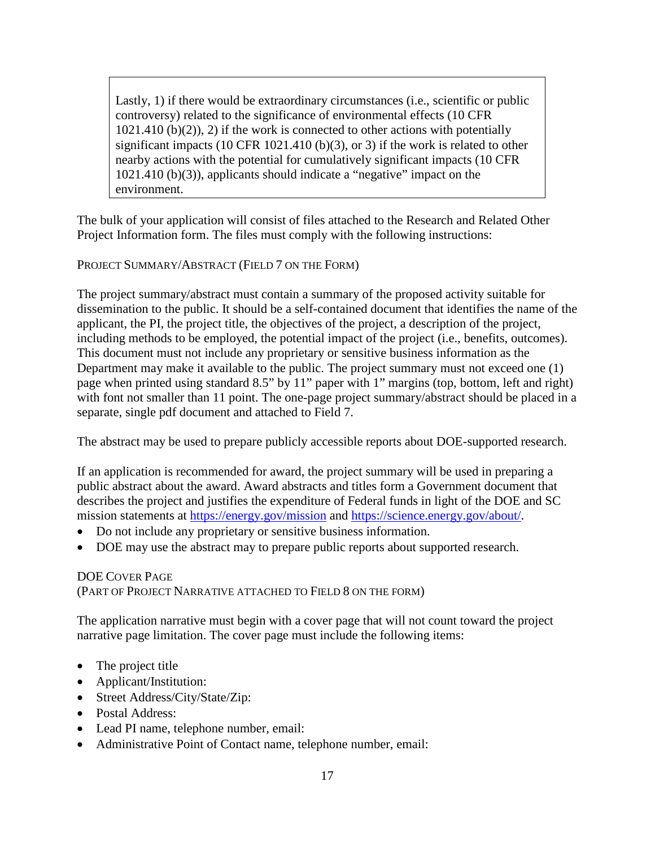Lastly, 1) if there would be extraordinary circumstances (i.e., scientific or public controversy) related to the significance of environmental effects (10 CFR  $1021.410$  (b)(2)), 2) if the work is connected to other actions with potentially significant impacts (10 CFR 1021.410 (b)(3), or 3) if the work is related to other nearby actions with the potential for cumulatively significant impacts (10 CFR 1021.410 (b)(3)), applicants should indicate a "negative" impact on the environment.

The bulk of your application will consist of files attached to the Research and Related Other Project Information form. The files must comply with the following instructions:

PROJECT SUMMARY/ABSTRACT (FIELD 7 ON THE FORM)

The project summary/abstract must contain a summary of the proposed activity suitable for dissemination to the public. It should be a self-contained document that identifies the name of the applicant, the PI, the project title, the objectives of the project, a description of the project, including methods to be employed, the potential impact of the project (i.e., benefits, outcomes). This document must not include any proprietary or sensitive business information as the Department may make it available to the public. The project summary must not exceed one (1) page when printed using standard 8.5" by 11" paper with 1" margins (top, bottom, left and right) with font not smaller than 11 point. The one-page project summary/abstract should be placed in a separate, single pdf document and attached to Field 7.

The abstract may be used to prepare publicly accessible reports about DOE-supported research.

If an application is recommended for award, the project summary will be used in preparing a public abstract about the award. Award abstracts and titles form a Government document that describes the project and justifies the expenditure of Federal funds in light of the DOE and SC mission statements at <https://energy.gov/mission> and [https://science.energy.gov/about/.](https://science.energy.gov/about/)

- Do not include any proprietary or sensitive business information.
- DOE may use the abstract may to prepare public reports about supported research.

#### DOE COVER PAGE (PART OF PROJECT NARRATIVE ATTACHED TO FIELD 8 ON THE FORM)

The application narrative must begin with a cover page that will not count toward the project narrative page limitation. The cover page must include the following items:

- The project title
- Applicant/Institution:
- Street Address/City/State/Zip:
- Postal Address:
- Lead PI name, telephone number, email:
- Administrative Point of Contact name, telephone number, email: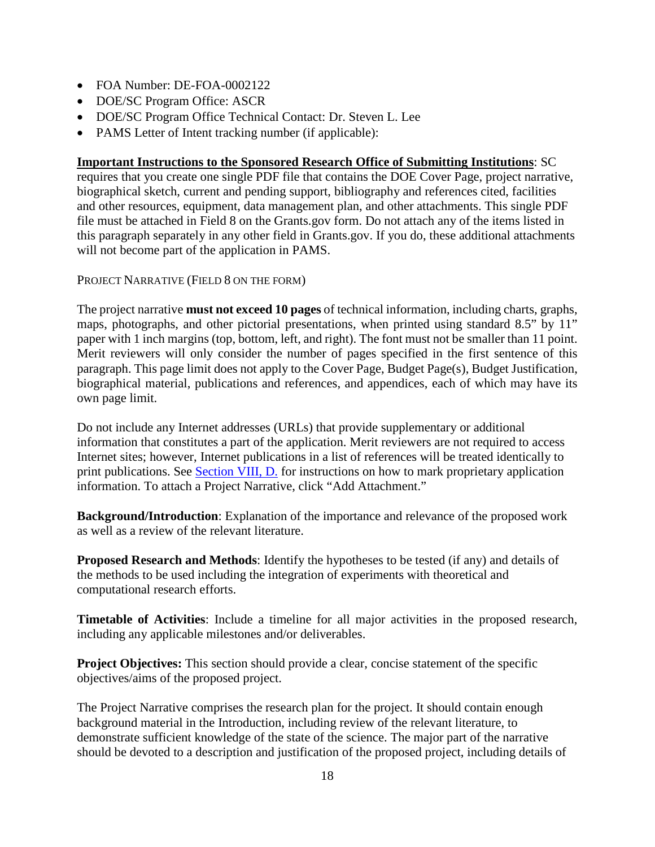- FOA Number: DE-FOA-0002122
- DOE/SC Program Office: ASCR
- DOE/SC Program Office Technical Contact: Dr. Steven L. Lee
- PAMS Letter of Intent tracking number (if applicable):

#### **Important Instructions to the Sponsored Research Office of Submitting Institutions**: SC

requires that you create one single PDF file that contains the DOE Cover Page, project narrative, biographical sketch, current and pending support, bibliography and references cited, facilities and other resources, equipment, data management plan, and other attachments. This single PDF file must be attached in Field 8 on the Grants.gov form. Do not attach any of the items listed in this paragraph separately in any other field in Grants.gov. If you do, these additional attachments will not become part of the application in PAMS.

PROJECT NARRATIVE (FIELD 8 ON THE FORM)

The project narrative **must not exceed 10 pages** of technical information, including charts, graphs, maps, photographs, and other pictorial presentations, when printed using standard 8.5" by 11" paper with 1 inch margins (top, bottom, left, and right). The font must not be smaller than 11 point. Merit reviewers will only consider the number of pages specified in the first sentence of this paragraph. This page limit does not apply to the Cover Page, Budget Page(s), Budget Justification, biographical material, publications and references, and appendices, each of which may have its own page limit.

Do not include any Internet addresses (URLs) that provide supplementary or additional information that constitutes a part of the application. Merit reviewers are not required to access Internet sites; however, Internet publications in a list of references will be treated identically to print publications. See Section [VIII, D.](#page-48-4) for instructions on how to mark proprietary application information. To attach a Project Narrative, click "Add Attachment."

**Background/Introduction**: Explanation of the importance and relevance of the proposed work as well as a review of the relevant literature.

**Proposed Research and Methods**: Identify the hypotheses to be tested (if any) and details of the methods to be used including the integration of experiments with theoretical and computational research efforts.

**Timetable of Activities**: Include a timeline for all major activities in the proposed research, including any applicable milestones and/or deliverables.

**Project Objectives:** This section should provide a clear, concise statement of the specific objectives/aims of the proposed project.

The Project Narrative comprises the research plan for the project. It should contain enough background material in the Introduction, including review of the relevant literature, to demonstrate sufficient knowledge of the state of the science. The major part of the narrative should be devoted to a description and justification of the proposed project, including details of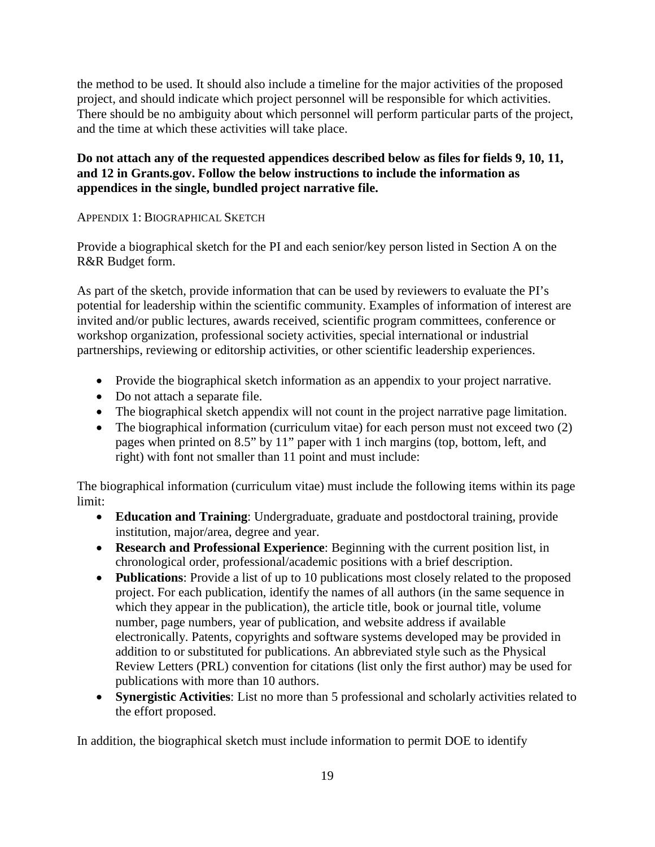the method to be used. It should also include a timeline for the major activities of the proposed project, and should indicate which project personnel will be responsible for which activities. There should be no ambiguity about which personnel will perform particular parts of the project, and the time at which these activities will take place.

### **Do not attach any of the requested appendices described below as files for fields 9, 10, 11, and 12 in Grants.gov. Follow the below instructions to include the information as appendices in the single, bundled project narrative file.**

#### APPENDIX 1: BIOGRAPHICAL SKETCH

Provide a biographical sketch for the PI and each senior/key person listed in Section A on the R&R Budget form.

As part of the sketch, provide information that can be used by reviewers to evaluate the PI's potential for leadership within the scientific community. Examples of information of interest are invited and/or public lectures, awards received, scientific program committees, conference or workshop organization, professional society activities, special international or industrial partnerships, reviewing or editorship activities, or other scientific leadership experiences.

- Provide the biographical sketch information as an appendix to your project narrative.
- Do not attach a separate file.
- The biographical sketch appendix will not count in the project narrative page limitation.
- The biographical information (curriculum vitae) for each person must not exceed two (2) pages when printed on 8.5" by 11" paper with 1 inch margins (top, bottom, left, and right) with font not smaller than 11 point and must include:

The biographical information (curriculum vitae) must include the following items within its page limit:

- **Education and Training**: Undergraduate, graduate and postdoctoral training, provide institution, major/area, degree and year.
- **Research and Professional Experience**: Beginning with the current position list, in chronological order, professional/academic positions with a brief description.
- **Publications**: Provide a list of up to 10 publications most closely related to the proposed project. For each publication, identify the names of all authors (in the same sequence in which they appear in the publication), the article title, book or journal title, volume number, page numbers, year of publication, and website address if available electronically. Patents, copyrights and software systems developed may be provided in addition to or substituted for publications. An abbreviated style such as the Physical Review Letters (PRL) convention for citations (list only the first author) may be used for publications with more than 10 authors.
- **Synergistic Activities**: List no more than 5 professional and scholarly activities related to the effort proposed.

In addition, the biographical sketch must include information to permit DOE to identify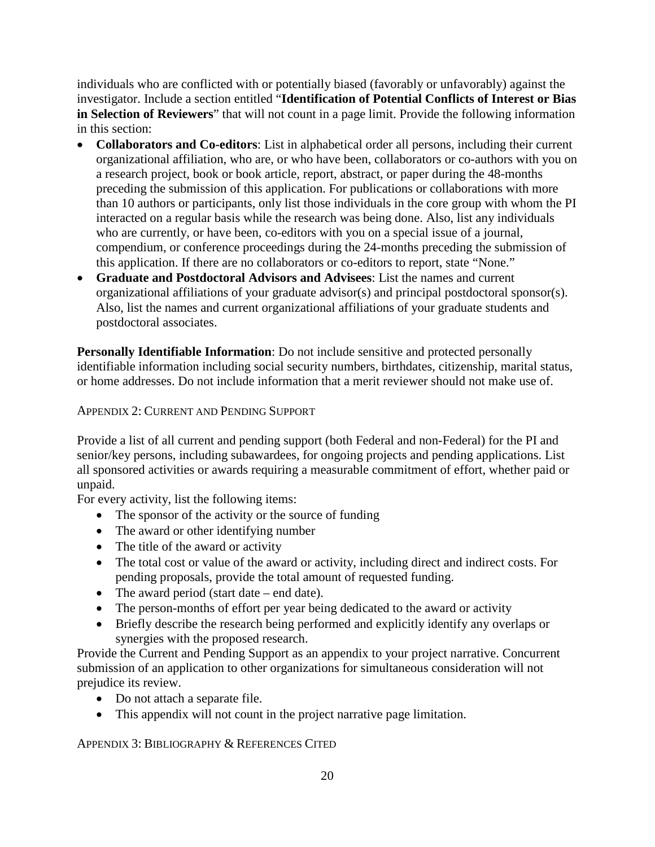individuals who are conflicted with or potentially biased (favorably or unfavorably) against the investigator. Include a section entitled "**Identification of Potential Conflicts of Interest or Bias in Selection of Reviewers**" that will not count in a page limit. Provide the following information in this section:

- **Collaborators and Co-editors**: List in alphabetical order all persons, including their current organizational affiliation, who are, or who have been, collaborators or co-authors with you on a research project, book or book article, report, abstract, or paper during the 48-months preceding the submission of this application. For publications or collaborations with more than 10 authors or participants, only list those individuals in the core group with whom the PI interacted on a regular basis while the research was being done. Also, list any individuals who are currently, or have been, co-editors with you on a special issue of a journal, compendium, or conference proceedings during the 24-months preceding the submission of this application. If there are no collaborators or co-editors to report, state "None."
- **Graduate and Postdoctoral Advisors and Advisees**: List the names and current organizational affiliations of your graduate advisor(s) and principal postdoctoral sponsor(s). Also, list the names and current organizational affiliations of your graduate students and postdoctoral associates.

**Personally Identifiable Information**: Do not include sensitive and protected personally identifiable information including social security numbers, birthdates, citizenship, marital status, or home addresses. Do not include information that a merit reviewer should not make use of.

APPENDIX 2: CURRENT AND PENDING SUPPORT

Provide a list of all current and pending support (both Federal and non-Federal) for the PI and senior/key persons, including subawardees, for ongoing projects and pending applications. List all sponsored activities or awards requiring a measurable commitment of effort, whether paid or unpaid.

For every activity, list the following items:

- The sponsor of the activity or the source of funding
- The award or other identifying number
- The title of the award or activity
- The total cost or value of the award or activity, including direct and indirect costs. For pending proposals, provide the total amount of requested funding.
- The award period (start date end date).
- The person-months of effort per year being dedicated to the award or activity
- Briefly describe the research being performed and explicitly identify any overlaps or synergies with the proposed research.

Provide the Current and Pending Support as an appendix to your project narrative. Concurrent submission of an application to other organizations for simultaneous consideration will not prejudice its review.

- Do not attach a separate file.
- This appendix will not count in the project narrative page limitation.

APPENDIX 3: BIBLIOGRAPHY & REFERENCES CITED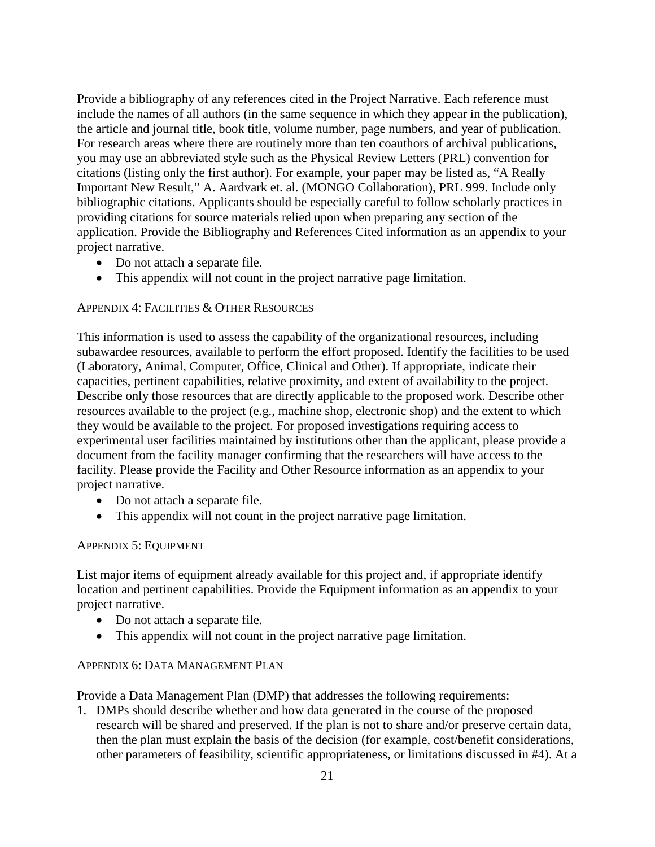Provide a bibliography of any references cited in the Project Narrative. Each reference must include the names of all authors (in the same sequence in which they appear in the publication), the article and journal title, book title, volume number, page numbers, and year of publication. For research areas where there are routinely more than ten coauthors of archival publications, you may use an abbreviated style such as the Physical Review Letters (PRL) convention for citations (listing only the first author). For example, your paper may be listed as, "A Really Important New Result," A. Aardvark et. al. (MONGO Collaboration), PRL 999. Include only bibliographic citations. Applicants should be especially careful to follow scholarly practices in providing citations for source materials relied upon when preparing any section of the application. Provide the Bibliography and References Cited information as an appendix to your project narrative.

- Do not attach a separate file.
- This appendix will not count in the project narrative page limitation.

#### APPENDIX 4: FACILITIES & OTHER RESOURCES

This information is used to assess the capability of the organizational resources, including subawardee resources, available to perform the effort proposed. Identify the facilities to be used (Laboratory, Animal, Computer, Office, Clinical and Other). If appropriate, indicate their capacities, pertinent capabilities, relative proximity, and extent of availability to the project. Describe only those resources that are directly applicable to the proposed work. Describe other resources available to the project (e.g., machine shop, electronic shop) and the extent to which they would be available to the project. For proposed investigations requiring access to experimental user facilities maintained by institutions other than the applicant, please provide a document from the facility manager confirming that the researchers will have access to the facility. Please provide the Facility and Other Resource information as an appendix to your project narrative.

- Do not attach a separate file.
- This appendix will not count in the project narrative page limitation.

#### APPENDIX 5: EQUIPMENT

List major items of equipment already available for this project and, if appropriate identify location and pertinent capabilities. Provide the Equipment information as an appendix to your project narrative.

- Do not attach a separate file.
- This appendix will not count in the project narrative page limitation.

#### APPENDIX 6: DATA MANAGEMENT PLAN

Provide a Data Management Plan (DMP) that addresses the following requirements:

1. DMPs should describe whether and how data generated in the course of the proposed research will be [shared](https://cms1.sc.osti.gov/funding-opportunities/digital-data-management/#Sharing) and [preserved.](https://cms1.sc.osti.gov/funding-opportunities/digital-data-management/#Preservation) If the plan is not to share and/or preserve certain data, then the plan must explain the basis of the decision (for example, cost/benefit considerations, other parameters of feasibility, scientific appropriateness, or limitations discussed in #4). At a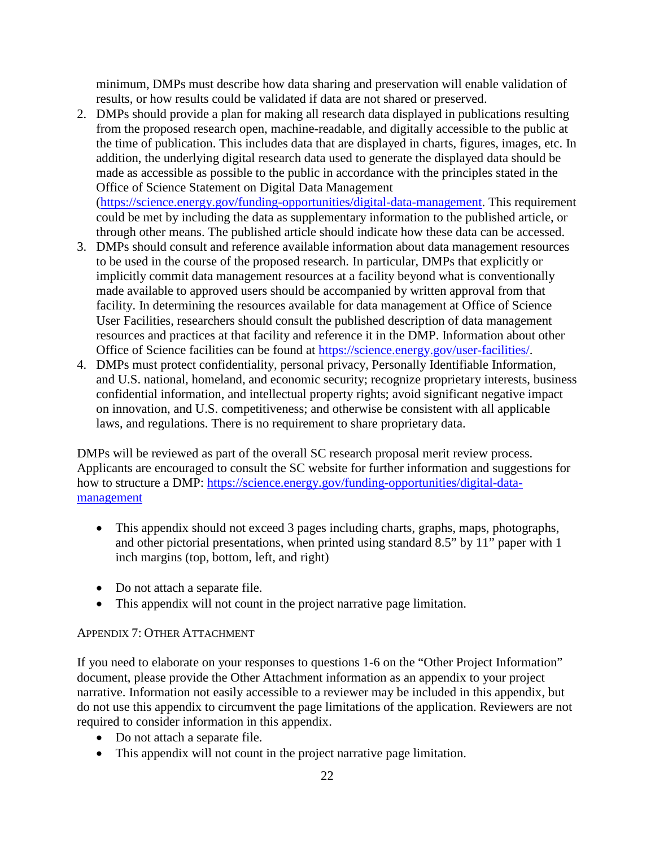minimum, DMPs must describe how data sharing and preservation will enable [validation](https://cms1.sc.osti.gov/funding-opportunities/digital-data-management/#Validate) of results, or how results could be validated if data are not shared or preserved.

2. DMPs should provide a plan for making all research data displayed in publications resulting from the proposed research open, machine-readable, and digitally accessible to the public at the time of publication. This includes data that are displayed in charts, figures, images, etc. In addition, the underlying digital research data used to generate the displayed data should be made as accessible as possible to the public in accordance with the principles stated in the Office of Science Statement on Digital Data Management [\(https://science.energy.gov/funding-opportunities/digital-data-management.](https://science.energy.gov/funding-opportunities/digital-data-management) This requirement

could be met by including the data as supplementary information to the published article, or through other means. The published article should indicate how these data can be accessed.

- 3. DMPs should consult and reference available information about data management resources to be used in the course of the proposed research. In particular, DMPs that explicitly or implicitly commit data management resources at a facility beyond what is conventionally made available to approved users should be accompanied by written approval from that facility. In determining the resources available for data management at Office of Science User Facilities, researchers should consult the published description of data management resources and practices at that facility and reference it in the DMP. Information about other Office of Science facilities can be found at [https://science.energy.gov/user-facilities/.](https://science.energy.gov/user-facilities/)
- 4. DMPs must protect confidentiality, personal privacy, Personally Identifiable [Information,](https://cms1.sc.osti.gov/funding-opportunities/digital-data-management/faqs/#HSRFAQ) and U.S. national, homeland, and economic security; recognize proprietary interests, business confidential information, and intellectual property rights; avoid significant negative impact on innovation, and U.S. competitiveness; and otherwise be consistent with all applicable laws, and regulations. There is no requirement to share proprietary data.

DMPs will be reviewed as part of the overall SC research proposal merit review process. Applicants are encouraged to consult the SC website for further information and suggestions for how to structure a DMP: [https://science.energy.gov/funding-opportunities/digital-data](https://science.energy.gov/funding-opportunities/digital-data-management)[management](https://science.energy.gov/funding-opportunities/digital-data-management)

- This appendix should not exceed 3 pages including charts, graphs, maps, photographs, and other pictorial presentations, when printed using standard 8.5" by 11" paper with 1 inch margins (top, bottom, left, and right)
- Do not attach a separate file.
- This appendix will not count in the project narrative page limitation.

### APPENDIX 7: OTHER ATTACHMENT

If you need to elaborate on your responses to questions 1-6 on the "Other Project Information" document, please provide the Other Attachment information as an appendix to your project narrative. Information not easily accessible to a reviewer may be included in this appendix, but do not use this appendix to circumvent the page limitations of the application. Reviewers are not required to consider information in this appendix.

- Do not attach a separate file.
- This appendix will not count in the project narrative page limitation.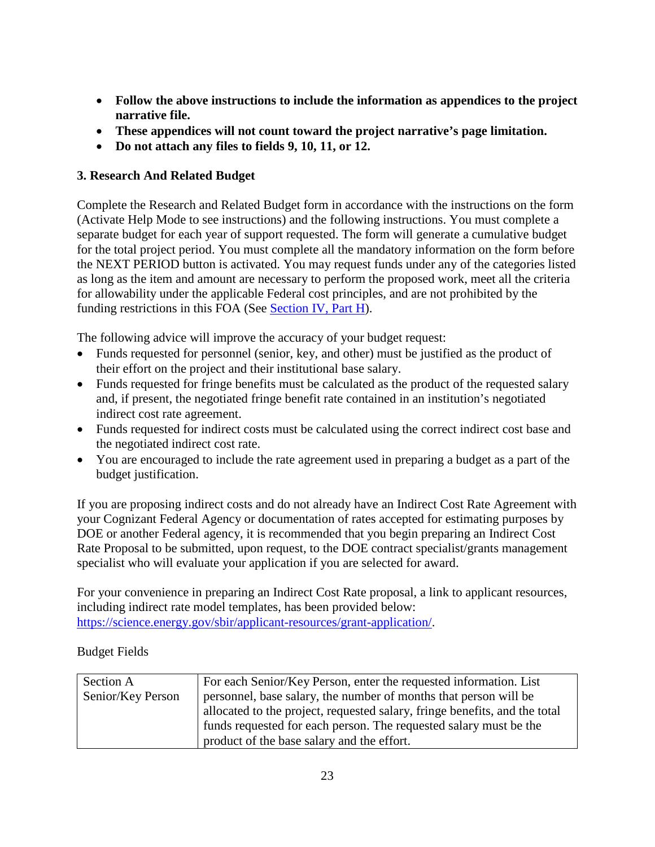- **Follow the above instructions to include the information as appendices to the project narrative file.**
- **These appendices will not count toward the project narrative's page limitation.**
- **Do not attach any files to fields 9, 10, 11, or 12.**

### **3. Research And Related Budget**

Complete the Research and Related Budget form in accordance with the instructions on the form (Activate Help Mode to see instructions) and the following instructions. You must complete a separate budget for each year of support requested. The form will generate a cumulative budget for the total project period. You must complete all the mandatory information on the form before the NEXT PERIOD button is activated. You may request funds under any of the categories listed as long as the item and amount are necessary to perform the proposed work, meet all the criteria for allowability under the applicable Federal cost principles, and are not prohibited by the funding restrictions in this FOA (See [Section IV, Part H\)](#page-32-2).

The following advice will improve the accuracy of your budget request:

- Funds requested for personnel (senior, key, and other) must be justified as the product of their effort on the project and their institutional base salary.
- Funds requested for fringe benefits must be calculated as the product of the requested salary and, if present, the negotiated fringe benefit rate contained in an institution's negotiated indirect cost rate agreement.
- Funds requested for indirect costs must be calculated using the correct indirect cost base and the negotiated indirect cost rate.
- You are encouraged to include the rate agreement used in preparing a budget as a part of the budget justification.

If you are proposing indirect costs and do not already have an Indirect Cost Rate Agreement with your Cognizant Federal Agency or documentation of rates accepted for estimating purposes by DOE or another Federal agency, it is recommended that you begin preparing an Indirect Cost Rate Proposal to be submitted, upon request, to the DOE contract specialist/grants management specialist who will evaluate your application if you are selected for award.

For your convenience in preparing an Indirect Cost Rate proposal, a link to applicant resources, including indirect rate model templates, has been provided below: [https://science.energy.gov/sbir/applicant-resources/grant-application/.](https://science.energy.gov/sbir/applicant-resources/grant-application/)

Budget Fields

| Section A         | For each Senior/Key Person, enter the requested information. List          |
|-------------------|----------------------------------------------------------------------------|
| Senior/Key Person | personnel, base salary, the number of months that person will be           |
|                   | allocated to the project, requested salary, fringe benefits, and the total |
|                   | funds requested for each person. The requested salary must be the          |
|                   | product of the base salary and the effort.                                 |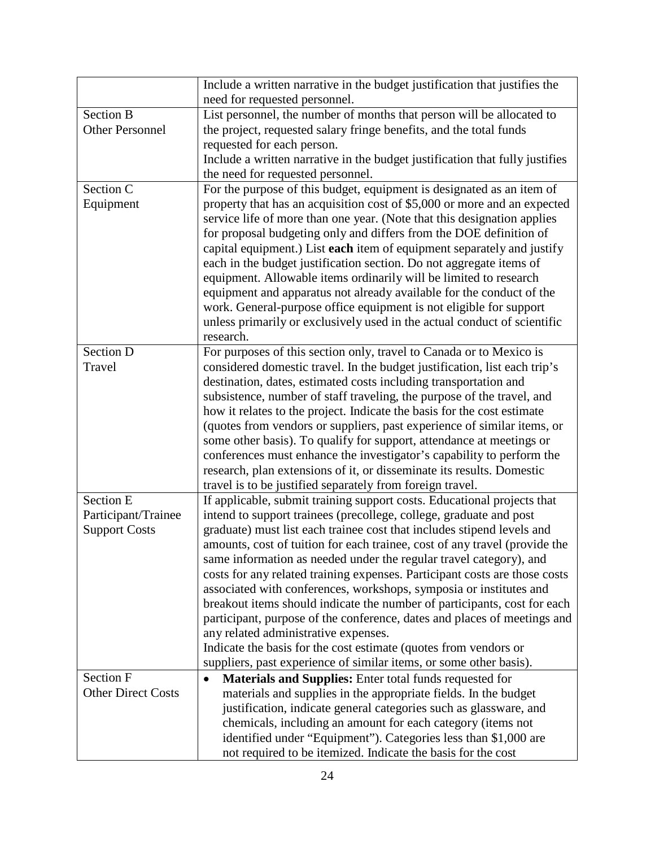|                           | Include a written narrative in the budget justification that justifies the            |
|---------------------------|---------------------------------------------------------------------------------------|
|                           | need for requested personnel.                                                         |
| <b>Section B</b>          | List personnel, the number of months that person will be allocated to                 |
| <b>Other Personnel</b>    | the project, requested salary fringe benefits, and the total funds                    |
|                           | requested for each person.                                                            |
|                           | Include a written narrative in the budget justification that fully justifies          |
|                           | the need for requested personnel.                                                     |
| Section C                 | For the purpose of this budget, equipment is designated as an item of                 |
| Equipment                 | property that has an acquisition cost of \$5,000 or more and an expected              |
|                           | service life of more than one year. (Note that this designation applies               |
|                           | for proposal budgeting only and differs from the DOE definition of                    |
|                           | capital equipment.) List each item of equipment separately and justify                |
|                           | each in the budget justification section. Do not aggregate items of                   |
|                           | equipment. Allowable items ordinarily will be limited to research                     |
|                           | equipment and apparatus not already available for the conduct of the                  |
|                           | work. General-purpose office equipment is not eligible for support                    |
|                           | unless primarily or exclusively used in the actual conduct of scientific<br>research. |
| <b>Section D</b>          | For purposes of this section only, travel to Canada or to Mexico is                   |
| Travel                    | considered domestic travel. In the budget justification, list each trip's             |
|                           | destination, dates, estimated costs including transportation and                      |
|                           | subsistence, number of staff traveling, the purpose of the travel, and                |
|                           | how it relates to the project. Indicate the basis for the cost estimate               |
|                           | (quotes from vendors or suppliers, past experience of similar items, or               |
|                           | some other basis). To qualify for support, attendance at meetings or                  |
|                           | conferences must enhance the investigator's capability to perform the                 |
|                           | research, plan extensions of it, or disseminate its results. Domestic                 |
|                           | travel is to be justified separately from foreign travel.                             |
| Section E                 | If applicable, submit training support costs. Educational projects that               |
| Participant/Trainee       | intend to support trainees (precollege, college, graduate and post                    |
| <b>Support Costs</b>      | graduate) must list each trainee cost that includes stipend levels and                |
|                           | amounts, cost of tuition for each trainee, cost of any travel (provide the            |
|                           | same information as needed under the regular travel category), and                    |
|                           | costs for any related training expenses. Participant costs are those costs            |
|                           | associated with conferences, workshops, symposia or institutes and                    |
|                           | breakout items should indicate the number of participants, cost for each              |
|                           | participant, purpose of the conference, dates and places of meetings and              |
|                           | any related administrative expenses.                                                  |
|                           | Indicate the basis for the cost estimate (quotes from vendors or                      |
|                           | suppliers, past experience of similar items, or some other basis).                    |
| Section F                 | <b>Materials and Supplies:</b> Enter total funds requested for                        |
| <b>Other Direct Costs</b> | materials and supplies in the appropriate fields. In the budget                       |
|                           | justification, indicate general categories such as glassware, and                     |
|                           | chemicals, including an amount for each category (items not                           |
|                           | identified under "Equipment"). Categories less than \$1,000 are                       |
|                           | not required to be itemized. Indicate the basis for the cost                          |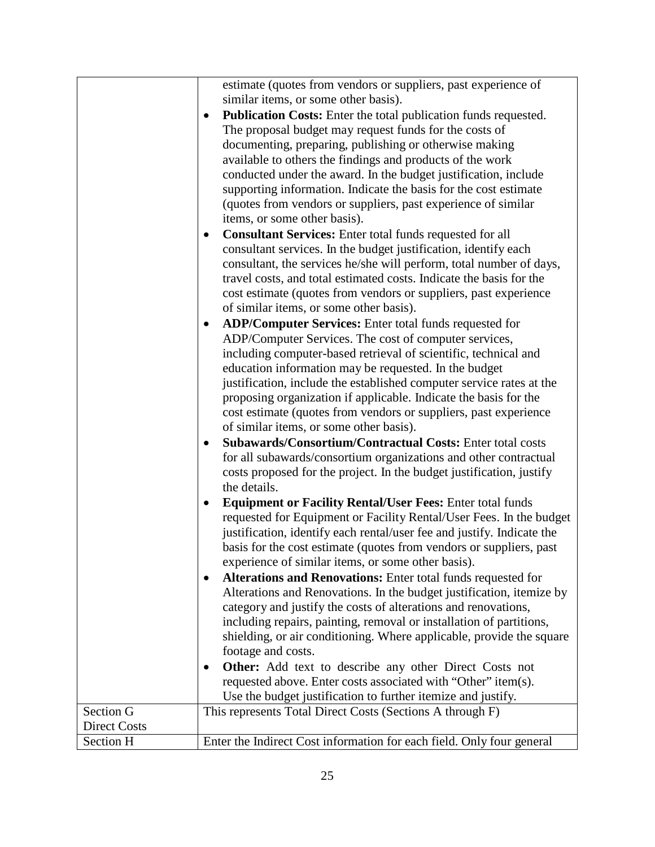|                     | estimate (quotes from vendors or suppliers, past experience of<br>similar items, or some other basis).<br>Publication Costs: Enter the total publication funds requested.<br>The proposal budget may request funds for the costs of                                                                                                                                                             |
|---------------------|-------------------------------------------------------------------------------------------------------------------------------------------------------------------------------------------------------------------------------------------------------------------------------------------------------------------------------------------------------------------------------------------------|
|                     | documenting, preparing, publishing or otherwise making<br>available to others the findings and products of the work<br>conducted under the award. In the budget justification, include<br>supporting information. Indicate the basis for the cost estimate<br>(quotes from vendors or suppliers, past experience of similar<br>items, or some other basis).                                     |
|                     | <b>Consultant Services:</b> Enter total funds requested for all<br>consultant services. In the budget justification, identify each<br>consultant, the services he/she will perform, total number of days,<br>travel costs, and total estimated costs. Indicate the basis for the<br>cost estimate (quotes from vendors or suppliers, past experience<br>of similar items, or some other basis). |
|                     | ADP/Computer Services: Enter total funds requested for<br>ADP/Computer Services. The cost of computer services,<br>including computer-based retrieval of scientific, technical and<br>education information may be requested. In the budget<br>justification, include the established computer service rates at the                                                                             |
|                     | proposing organization if applicable. Indicate the basis for the<br>cost estimate (quotes from vendors or suppliers, past experience<br>of similar items, or some other basis).                                                                                                                                                                                                                 |
|                     | Subawards/Consortium/Contractual Costs: Enter total costs<br>for all subawards/consortium organizations and other contractual<br>costs proposed for the project. In the budget justification, justify<br>the details.                                                                                                                                                                           |
|                     | <b>Equipment or Facility Rental/User Fees: Enter total funds</b><br>$\bullet$<br>requested for Equipment or Facility Rental/User Fees. In the budget<br>justification, identify each rental/user fee and justify. Indicate the<br>basis for the cost estimate (quotes from vendors or suppliers, past<br>experience of similar items, or some other basis).                                     |
|                     | Alterations and Renovations: Enter total funds requested for<br>Alterations and Renovations. In the budget justification, itemize by<br>category and justify the costs of alterations and renovations,<br>including repairs, painting, removal or installation of partitions,<br>shielding, or air conditioning. Where applicable, provide the square                                           |
|                     | footage and costs.<br><b>Other:</b> Add text to describe any other Direct Costs not<br>requested above. Enter costs associated with "Other" item(s).<br>Use the budget justification to further itemize and justify.                                                                                                                                                                            |
| Section G           | This represents Total Direct Costs (Sections A through F)                                                                                                                                                                                                                                                                                                                                       |
| <b>Direct Costs</b> |                                                                                                                                                                                                                                                                                                                                                                                                 |
| Section H           | Enter the Indirect Cost information for each field. Only four general                                                                                                                                                                                                                                                                                                                           |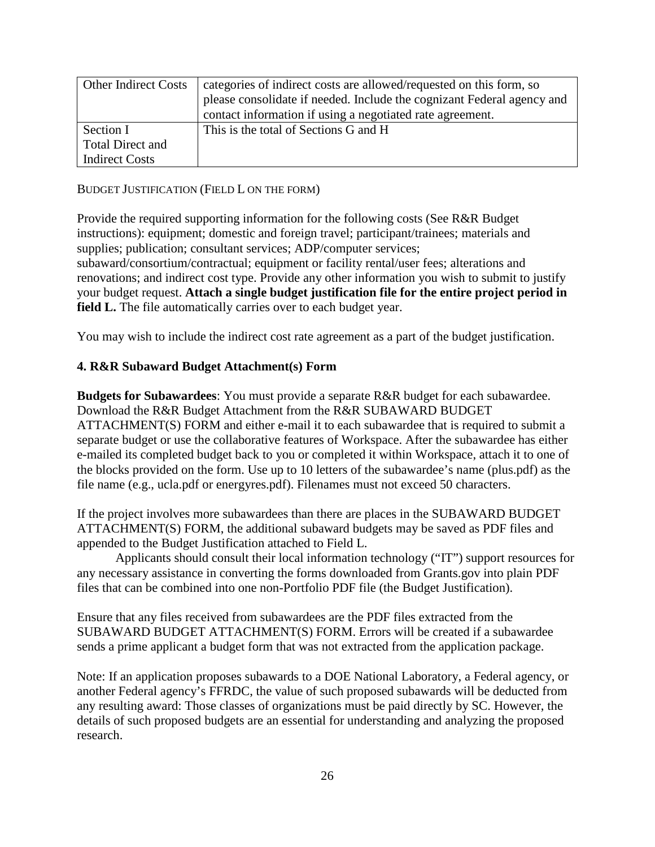| <b>Other Indirect Costs</b> | categories of indirect costs are allowed/requested on this form, so    |
|-----------------------------|------------------------------------------------------------------------|
|                             | please consolidate if needed. Include the cognizant Federal agency and |
|                             | contact information if using a negotiated rate agreement.              |
| Section I                   | This is the total of Sections G and H                                  |
| Total Direct and            |                                                                        |
| <b>Indirect Costs</b>       |                                                                        |

BUDGET JUSTIFICATION (FIELD L ON THE FORM)

Provide the required supporting information for the following costs (See R&R Budget instructions): equipment; domestic and foreign travel; participant/trainees; materials and supplies; publication; consultant services; ADP/computer services;

subaward/consortium/contractual; equipment or facility rental/user fees; alterations and renovations; and indirect cost type. Provide any other information you wish to submit to justify your budget request. **Attach a single budget justification file for the entire project period in field L.** The file automatically carries over to each budget year.

You may wish to include the indirect cost rate agreement as a part of the budget justification.

#### **4. R&R Subaward Budget Attachment(s) Form**

**Budgets for Subawardees**: You must provide a separate R&R budget for each subawardee. Download the R&R Budget Attachment from the R&R SUBAWARD BUDGET ATTACHMENT(S) FORM and either e-mail it to each subawardee that is required to submit a separate budget or use the collaborative features of Workspace. After the subawardee has either e-mailed its completed budget back to you or completed it within Workspace, attach it to one of the blocks provided on the form. Use up to 10 letters of the subawardee's name (plus.pdf) as the file name (e.g., ucla.pdf or energyres.pdf). Filenames must not exceed 50 characters.

If the project involves more subawardees than there are places in the SUBAWARD BUDGET ATTACHMENT(S) FORM, the additional subaward budgets may be saved as PDF files and appended to the Budget Justification attached to Field L.

Applicants should consult their local information technology ("IT") support resources for any necessary assistance in converting the forms downloaded from Grants.gov into plain PDF files that can be combined into one non-Portfolio PDF file (the Budget Justification).

Ensure that any files received from subawardees are the PDF files extracted from the SUBAWARD BUDGET ATTACHMENT(S) FORM. Errors will be created if a subawardee sends a prime applicant a budget form that was not extracted from the application package.

Note: If an application proposes subawards to a DOE National Laboratory, a Federal agency, or another Federal agency's FFRDC, the value of such proposed subawards will be deducted from any resulting award: Those classes of organizations must be paid directly by SC. However, the details of such proposed budgets are an essential for understanding and analyzing the proposed research.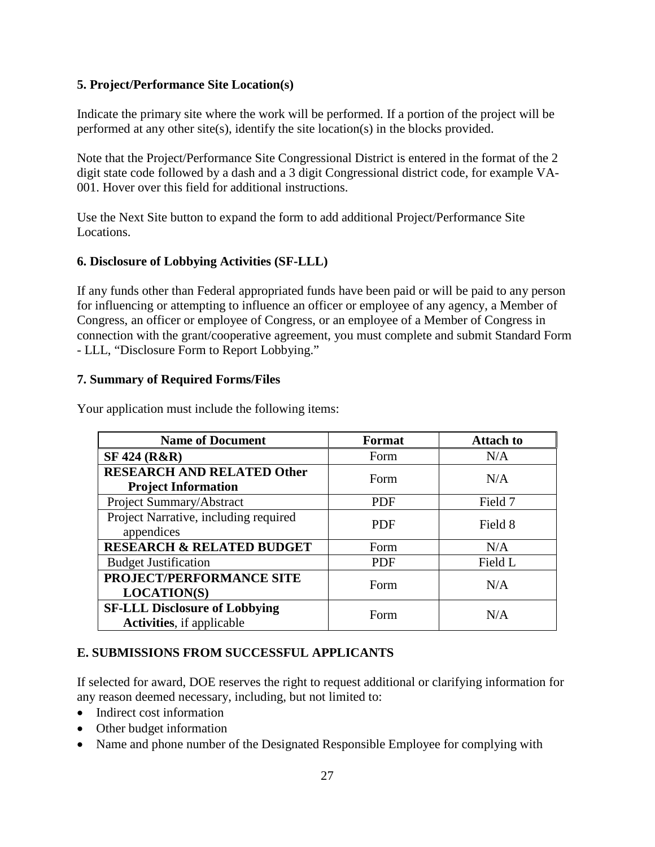#### **5. Project/Performance Site Location(s)**

Indicate the primary site where the work will be performed. If a portion of the project will be performed at any other site(s), identify the site location(s) in the blocks provided.

Note that the Project/Performance Site Congressional District is entered in the format of the 2 digit state code followed by a dash and a 3 digit Congressional district code, for example VA-001. Hover over this field for additional instructions.

Use the Next Site button to expand the form to add additional Project/Performance Site Locations.

### **6. Disclosure of Lobbying Activities (SF-LLL)**

If any funds other than Federal appropriated funds have been paid or will be paid to any person for influencing or attempting to influence an officer or employee of any agency, a Member of Congress, an officer or employee of Congress, or an employee of a Member of Congress in connection with the grant/cooperative agreement, you must complete and submit Standard Form - LLL, "Disclosure Form to Report Lobbying."

#### **7. Summary of Required Forms/Files**

| <b>Name of Document</b>                                                   | Format     | <b>Attach to</b> |
|---------------------------------------------------------------------------|------------|------------------|
| <b>SF 424 (R&amp;R)</b>                                                   | Form       | N/A              |
| <b>RESEARCH AND RELATED Other</b><br><b>Project Information</b>           | Form       | N/A              |
| Project Summary/Abstract                                                  | <b>PDF</b> | Field 7          |
| Project Narrative, including required<br>appendices                       | <b>PDF</b> | Field 8          |
| <b>RESEARCH &amp; RELATED BUDGET</b>                                      | Form       | N/A              |
| <b>Budget Justification</b>                                               | <b>PDF</b> | Field L          |
| PROJECT/PERFORMANCE SITE<br><b>LOCATION(S)</b>                            | Form       | N/A              |
| <b>SF-LLL Disclosure of Lobbying</b><br><b>Activities</b> , if applicable | Form       | N/A              |

Your application must include the following items:

#### <span id="page-31-0"></span>**E. SUBMISSIONS FROM SUCCESSFUL APPLICANTS**

If selected for award, DOE reserves the right to request additional or clarifying information for any reason deemed necessary, including, but not limited to:

- Indirect cost information
- Other budget information
- Name and phone number of the Designated Responsible Employee for complying with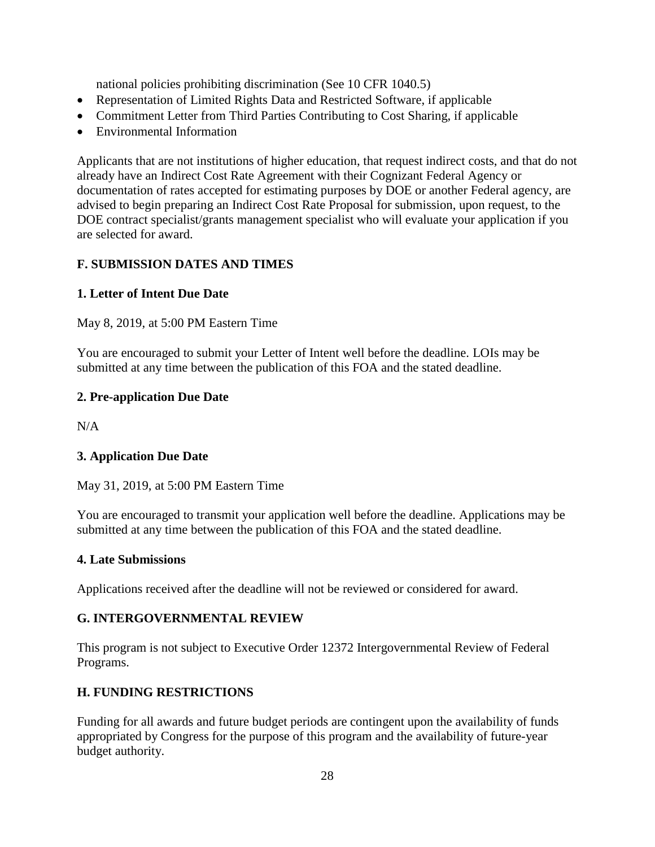national policies prohibiting discrimination (See 10 CFR 1040.5)

- Representation of Limited Rights Data and Restricted Software, if applicable
- Commitment Letter from Third Parties Contributing to Cost Sharing, if applicable
- Environmental Information

Applicants that are not institutions of higher education, that request indirect costs, and that do not already have an Indirect Cost Rate Agreement with their Cognizant Federal Agency or documentation of rates accepted for estimating purposes by DOE or another Federal agency, are advised to begin preparing an Indirect Cost Rate Proposal for submission, upon request, to the DOE contract specialist/grants management specialist who will evaluate your application if you are selected for award.

### <span id="page-32-0"></span>**F. SUBMISSION DATES AND TIMES**

### <span id="page-32-3"></span>**1. Letter of Intent Due Date**

May 8, 2019, at 5:00 PM Eastern Time

You are encouraged to submit your Letter of Intent well before the deadline. LOIs may be submitted at any time between the publication of this FOA and the stated deadline.

#### **2. Pre-application Due Date**

 $N/A$ 

### **3. Application Due Date**

May 31, 2019, at 5:00 PM Eastern Time

You are encouraged to transmit your application well before the deadline. Applications may be submitted at any time between the publication of this FOA and the stated deadline.

#### **4. Late Submissions**

Applications received after the deadline will not be reviewed or considered for award.

### <span id="page-32-1"></span>**G. INTERGOVERNMENTAL REVIEW**

This program is not subject to Executive Order 12372 Intergovernmental Review of Federal Programs.

### <span id="page-32-2"></span>**H. FUNDING RESTRICTIONS**

Funding for all awards and future budget periods are contingent upon the availability of funds appropriated by Congress for the purpose of this program and the availability of future-year budget authority.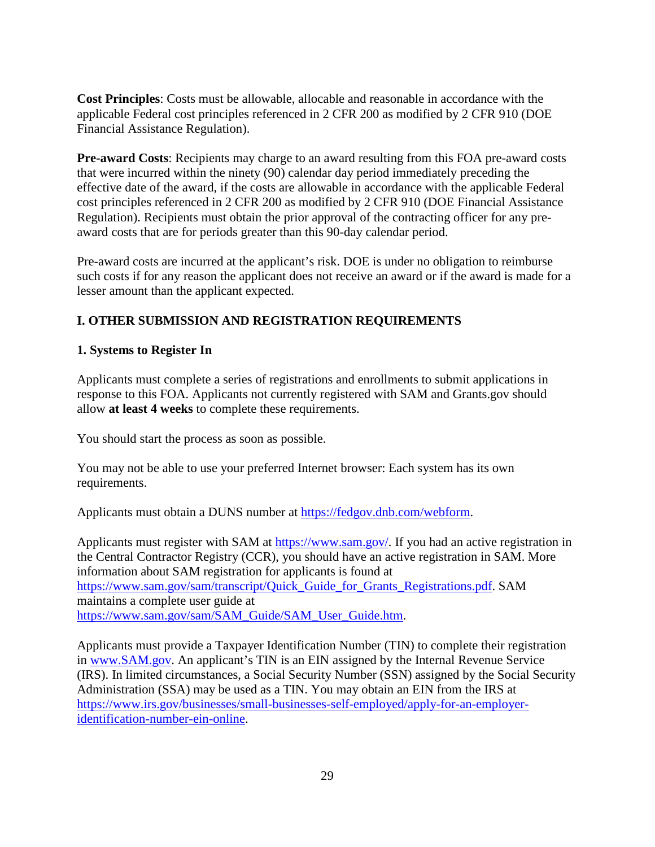**Cost Principles**: Costs must be allowable, allocable and reasonable in accordance with the applicable Federal cost principles referenced in 2 CFR 200 as modified by 2 CFR 910 (DOE Financial Assistance Regulation).

**Pre-award Costs**: Recipients may charge to an award resulting from this FOA pre-award costs that were incurred within the ninety (90) calendar day period immediately preceding the effective date of the award, if the costs are allowable in accordance with the applicable Federal cost principles referenced in 2 CFR 200 as modified by 2 CFR 910 (DOE Financial Assistance Regulation). Recipients must obtain the prior approval of the contracting officer for any preaward costs that are for periods greater than this 90-day calendar period.

Pre-award costs are incurred at the applicant's risk. DOE is under no obligation to reimburse such costs if for any reason the applicant does not receive an award or if the award is made for a lesser amount than the applicant expected.

# <span id="page-33-0"></span>**I. OTHER SUBMISSION AND REGISTRATION REQUIREMENTS**

### **1. Systems to Register In**

Applicants must complete a series of registrations and enrollments to submit applications in response to this FOA. Applicants not currently registered with SAM and Grants.gov should allow **at least 4 weeks** to complete these requirements.

You should start the process as soon as possible.

You may not be able to use your preferred Internet browser: Each system has its own requirements.

Applicants must obtain a DUNS number at [https://fedgov.dnb.com/webform.](https://fedgov.dnb.com/webform)

Applicants must register with SAM at [https://www.sam.gov/.](https://www.sam.gov/) If you had an active registration in the Central Contractor Registry (CCR), you should have an active registration in SAM. More information about SAM registration for applicants is found at [https://www.sam.gov/sam/transcript/Quick\\_Guide\\_for\\_Grants\\_Registrations.pdf.](https://www.sam.gov/sam/transcript/Quick_Guide_for_Grants_Registrations.pdf) SAM maintains a complete user guide at [https://www.sam.gov/sam/SAM\\_Guide/SAM\\_User\\_Guide.htm.](https://www.sam.gov/sam/SAM_Guide/SAM_User_Guide.htm)

Applicants must provide a Taxpayer Identification Number (TIN) to complete their registration in [www.SAM.gov.](https://www.sam.gov/) An applicant's TIN is an EIN assigned by the Internal Revenue Service (IRS). In limited circumstances, a Social Security Number (SSN) assigned by the Social Security Administration (SSA) may be used as a TIN. You may obtain an EIN from the IRS at [https://www.irs.gov/businesses/small-businesses-self-employed/apply-for-an-employer](https://www.irs.gov/businesses/small-businesses-self-employed/apply-for-an-employer-identification-number-ein-online)[identification-number-ein-online.](https://www.irs.gov/businesses/small-businesses-self-employed/apply-for-an-employer-identification-number-ein-online)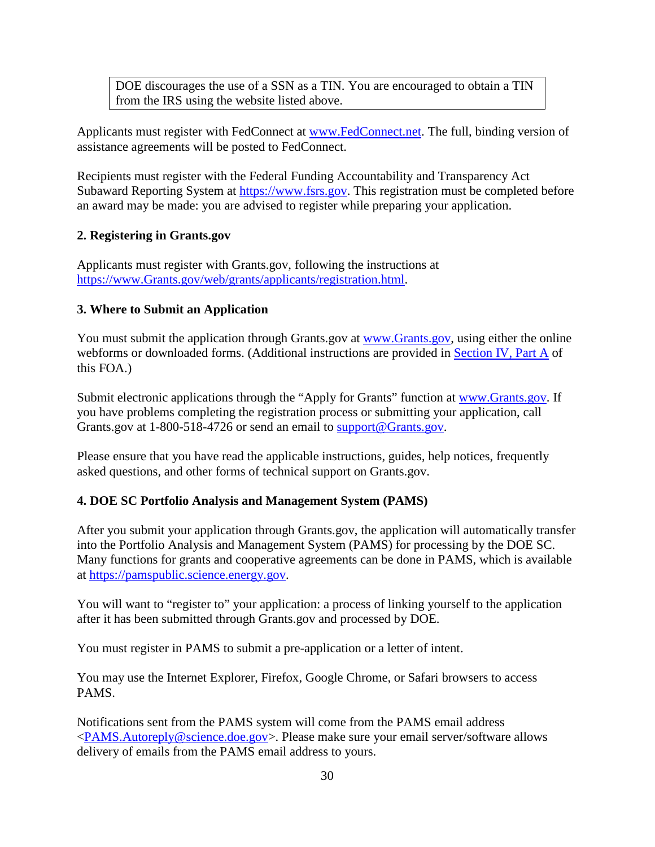DOE discourages the use of a SSN as a TIN. You are encouraged to obtain a TIN from the IRS using the website listed above.

Applicants must register with FedConnect at [www.FedConnect.net.](https://www.fedconnect.net/) The full, binding version of assistance agreements will be posted to FedConnect.

Recipients must register with the Federal Funding Accountability and Transparency Act Subaward Reporting System at [https://www.fsrs.gov.](https://www.fsrs.gov/) This registration must be completed before an award may be made: you are advised to register while preparing your application.

#### **2. Registering in Grants.gov**

Applicants must register with Grants.gov, following the instructions at [https://www.Grants.gov/web/grants/applicants/registration.html.](https://www.grants.gov/web/grants/applicants/registration.html)

#### **3. Where to Submit an Application**

You must submit the application through Grants.gov at [www.Grants.gov,](https://www.grants.gov/) using either the online webforms or downloaded forms. (Additional instructions are provided in [Section IV, Part A](#page-12-1) of this FOA.)

Submit electronic applications through the "Apply for Grants" function at [www.Grants.gov.](https://www.grants.gov/) If you have problems completing the registration process or submitting your application, call Grants.gov at 1-800-518-4726 or send an email to [support@Grants.gov.](mailto:support@grants.gov)

Please ensure that you have read the applicable instructions, guides, help notices, frequently asked questions, and other forms of technical support on Grants.gov.

#### <span id="page-34-0"></span>**4. DOE SC Portfolio Analysis and Management System (PAMS)**

After you submit your application through Grants.gov, the application will automatically transfer into the Portfolio Analysis and Management System (PAMS) for processing by the DOE SC. Many functions for grants and cooperative agreements can be done in PAMS, which is available at [https://pamspublic.science.energy.gov.](https://pamspublic.science.energy.gov/)

You will want to "register to" your application: a process of linking yourself to the application after it has been submitted through Grants.gov and processed by DOE.

You must register in PAMS to submit a pre-application or a letter of intent.

You may use the Internet Explorer, Firefox, Google Chrome, or Safari browsers to access PAMS.

Notifications sent from the PAMS system will come from the PAMS email address [<PAMS.Autoreply@science.doe.gov>](mailto:PAMS.Autoreply@science.doe.gov). Please make sure your email server/software allows delivery of emails from the PAMS email address to yours.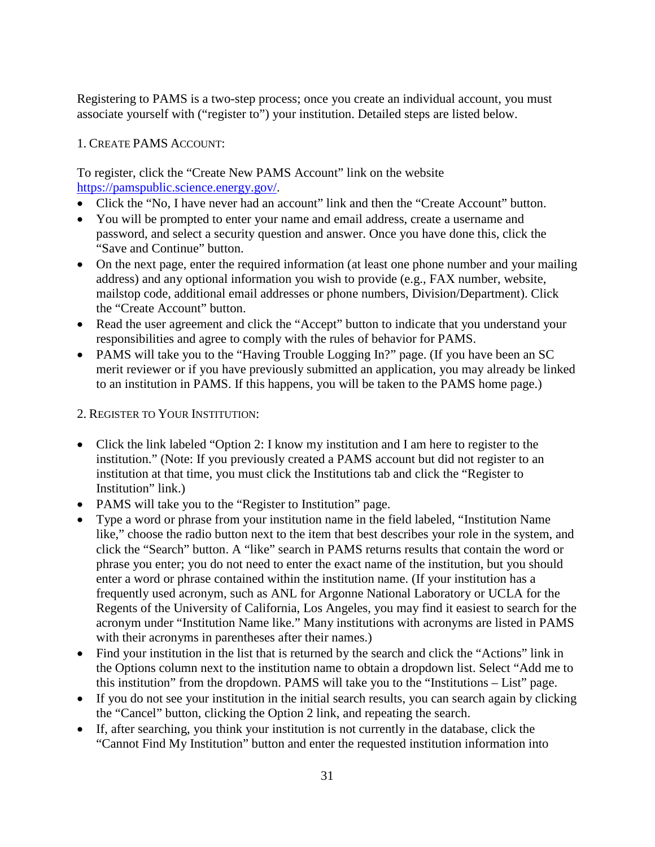Registering to PAMS is a two-step process; once you create an individual account, you must associate yourself with ("register to") your institution. Detailed steps are listed below.

#### 1. CREATE PAMS ACCOUNT:

To register, click the "Create New PAMS Account" link on the website [https://pamspublic.science.energy.gov/.](https://pamspublic.science.energy.gov/)

- Click the "No, I have never had an account" link and then the "Create Account" button.
- You will be prompted to enter your name and email address, create a username and password, and select a security question and answer. Once you have done this, click the "Save and Continue" button.
- On the next page, enter the required information (at least one phone number and your mailing address) and any optional information you wish to provide (e.g., FAX number, website, mailstop code, additional email addresses or phone numbers, Division/Department). Click the "Create Account" button.
- Read the user agreement and click the "Accept" button to indicate that you understand your responsibilities and agree to comply with the rules of behavior for PAMS.
- PAMS will take you to the "Having Trouble Logging In?" page. (If you have been an SC merit reviewer or if you have previously submitted an application, you may already be linked to an institution in PAMS. If this happens, you will be taken to the PAMS home page.)

#### 2. REGISTER TO YOUR INSTITUTION:

- Click the link labeled "Option 2: I know my institution and I am here to register to the institution." (Note: If you previously created a PAMS account but did not register to an institution at that time, you must click the Institutions tab and click the "Register to Institution" link.)
- PAMS will take you to the "Register to Institution" page.
- Type a word or phrase from your institution name in the field labeled, "Institution Name like," choose the radio button next to the item that best describes your role in the system, and click the "Search" button. A "like" search in PAMS returns results that contain the word or phrase you enter; you do not need to enter the exact name of the institution, but you should enter a word or phrase contained within the institution name. (If your institution has a frequently used acronym, such as ANL for Argonne National Laboratory or UCLA for the Regents of the University of California, Los Angeles, you may find it easiest to search for the acronym under "Institution Name like." Many institutions with acronyms are listed in PAMS with their acronyms in parentheses after their names.)
- Find your institution in the list that is returned by the search and click the "Actions" link in the Options column next to the institution name to obtain a dropdown list. Select "Add me to this institution" from the dropdown. PAMS will take you to the "Institutions – List" page.
- If you do not see your institution in the initial search results, you can search again by clicking the "Cancel" button, clicking the Option 2 link, and repeating the search.
- If, after searching, you think your institution is not currently in the database, click the "Cannot Find My Institution" button and enter the requested institution information into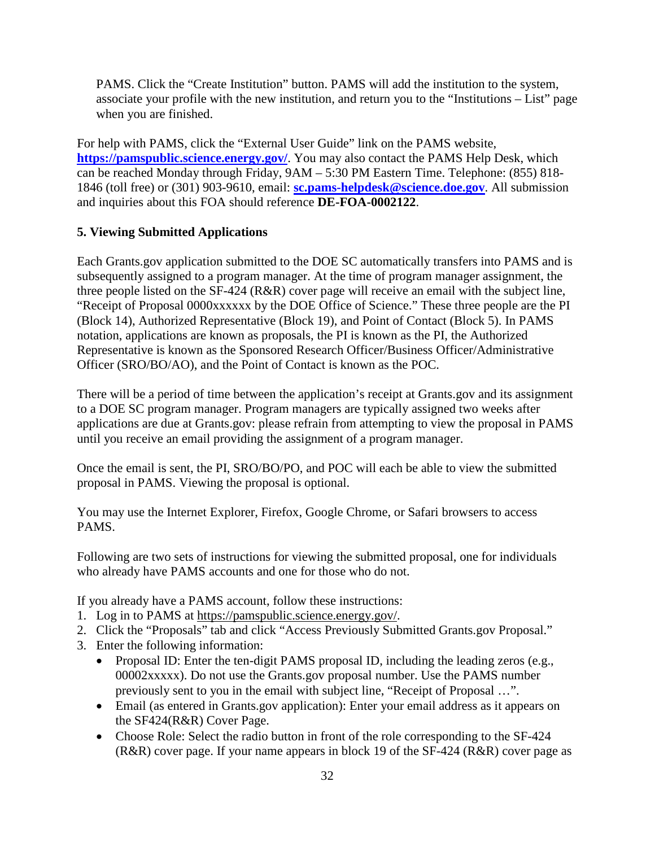PAMS. Click the "Create Institution" button. PAMS will add the institution to the system, associate your profile with the new institution, and return you to the "Institutions – List" page when you are finished.

For help with PAMS, click the "External User Guide" link on the PAMS website, **<https://pamspublic.science.energy.gov/>**. You may also contact the PAMS Help Desk, which can be reached Monday through Friday, 9AM – 5:30 PM Eastern Time. Telephone: (855) 818- 1846 (toll free) or (301) 903-9610, email: **[sc.pams-helpdesk@science.doe.gov](mailto:sc.pams-helpdesk@science.doe.gov)**. All submission and inquiries about this FOA should reference **DE-FOA-0002122**.

#### **5. Viewing Submitted Applications**

Each Grants.gov application submitted to the DOE SC automatically transfers into PAMS and is subsequently assigned to a program manager. At the time of program manager assignment, the three people listed on the SF-424 (R&R) cover page will receive an email with the subject line, "Receipt of Proposal 0000xxxxxx by the DOE Office of Science." These three people are the PI (Block 14), Authorized Representative (Block 19), and Point of Contact (Block 5). In PAMS notation, applications are known as proposals, the PI is known as the PI, the Authorized Representative is known as the Sponsored Research Officer/Business Officer/Administrative Officer (SRO/BO/AO), and the Point of Contact is known as the POC.

There will be a period of time between the application's receipt at Grants.gov and its assignment to a DOE SC program manager. Program managers are typically assigned two weeks after applications are due at Grants.gov: please refrain from attempting to view the proposal in PAMS until you receive an email providing the assignment of a program manager.

Once the email is sent, the PI, SRO/BO/PO, and POC will each be able to view the submitted proposal in PAMS. Viewing the proposal is optional.

You may use the Internet Explorer, Firefox, Google Chrome, or Safari browsers to access PAMS.

Following are two sets of instructions for viewing the submitted proposal, one for individuals who already have PAMS accounts and one for those who do not.

If you already have a PAMS account, follow these instructions:

- 1. Log in to PAMS at [https://pamspublic.science.energy.gov/.](https://pamspublic.science.energy.gov/)
- 2. Click the "Proposals" tab and click "Access Previously Submitted Grants.gov Proposal."
- 3. Enter the following information:
	- Proposal ID: Enter the ten-digit PAMS proposal ID, including the leading zeros (e.g., 00002xxxxx). Do not use the Grants.gov proposal number. Use the PAMS number previously sent to you in the email with subject line, "Receipt of Proposal …".
	- Email (as entered in Grants.gov application): Enter your email address as it appears on the SF424(R&R) Cover Page.
	- Choose Role: Select the radio button in front of the role corresponding to the SF-424 (R&R) cover page. If your name appears in block 19 of the SF-424 (R&R) cover page as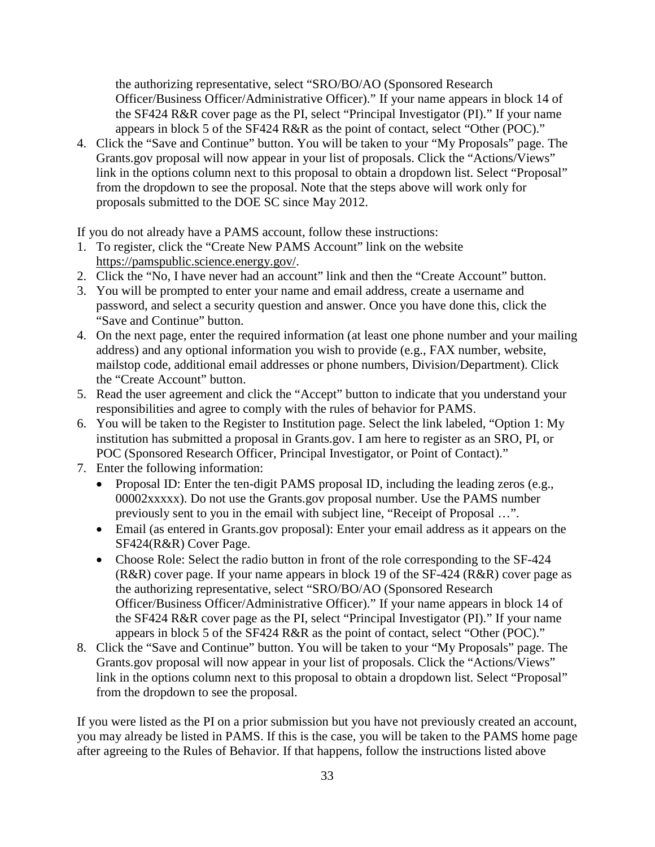the authorizing representative, select "SRO/BO/AO (Sponsored Research Officer/Business Officer/Administrative Officer)." If your name appears in block 14 of the SF424 R&R cover page as the PI, select "Principal Investigator (PI)." If your name appears in block 5 of the SF424 R&R as the point of contact, select "Other (POC)."

4. Click the "Save and Continue" button. You will be taken to your "My Proposals" page. The Grants.gov proposal will now appear in your list of proposals. Click the "Actions/Views" link in the options column next to this proposal to obtain a dropdown list. Select "Proposal" from the dropdown to see the proposal. Note that the steps above will work only for proposals submitted to the DOE SC since May 2012.

If you do not already have a PAMS account, follow these instructions:

- 1. To register, click the "Create New PAMS Account" link on the website [https://pamspublic.science.energy.gov/.](https://pamspublic.science.energy.gov/)
- 2. Click the "No, I have never had an account" link and then the "Create Account" button.
- 3. You will be prompted to enter your name and email address, create a username and password, and select a security question and answer. Once you have done this, click the "Save and Continue" button.
- 4. On the next page, enter the required information (at least one phone number and your mailing address) and any optional information you wish to provide (e.g., FAX number, website, mailstop code, additional email addresses or phone numbers, Division/Department). Click the "Create Account" button.
- 5. Read the user agreement and click the "Accept" button to indicate that you understand your responsibilities and agree to comply with the rules of behavior for PAMS.
- 6. You will be taken to the Register to Institution page. Select the link labeled, "Option 1: My institution has submitted a proposal in Grants.gov. I am here to register as an SRO, PI, or POC (Sponsored Research Officer, Principal Investigator, or Point of Contact)."
- 7. Enter the following information:
	- Proposal ID: Enter the ten-digit PAMS proposal ID, including the leading zeros (e.g., 00002xxxxx). Do not use the Grants.gov proposal number. Use the PAMS number previously sent to you in the email with subject line, "Receipt of Proposal …".
	- Email (as entered in Grants.gov proposal): Enter your email address as it appears on the SF424(R&R) Cover Page.
	- Choose Role: Select the radio button in front of the role corresponding to the SF-424 (R&R) cover page. If your name appears in block 19 of the SF-424 (R&R) cover page as the authorizing representative, select "SRO/BO/AO (Sponsored Research Officer/Business Officer/Administrative Officer)." If your name appears in block 14 of the SF424 R&R cover page as the PI, select "Principal Investigator (PI)." If your name appears in block 5 of the SF424 R&R as the point of contact, select "Other (POC)."
- 8. Click the "Save and Continue" button. You will be taken to your "My Proposals" page. The Grants.gov proposal will now appear in your list of proposals. Click the "Actions/Views" link in the options column next to this proposal to obtain a dropdown list. Select "Proposal" from the dropdown to see the proposal.

If you were listed as the PI on a prior submission but you have not previously created an account, you may already be listed in PAMS. If this is the case, you will be taken to the PAMS home page after agreeing to the Rules of Behavior. If that happens, follow the instructions listed above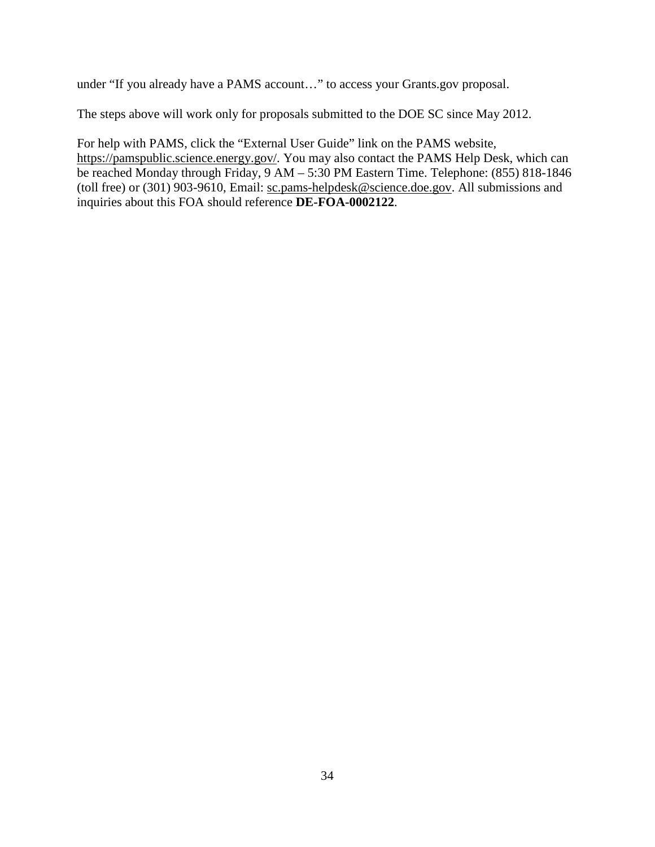under "If you already have a PAMS account…" to access your Grants.gov proposal.

The steps above will work only for proposals submitted to the DOE SC since May 2012.

For help with PAMS, click the "External User Guide" link on the PAMS website, [https://pamspublic.science.energy.gov/.](https://pamspublic.science.energy.gov/) You may also contact the PAMS Help Desk, which can be reached Monday through Friday, 9 AM – 5:30 PM Eastern Time. Telephone: (855) 818-1846 (toll free) or (301) 903-9610, Email: [sc.pams-helpdesk@science.doe.gov.](mailto:sc.pams-helpdesk@science.doe.gov) All submissions and inquiries about this FOA should reference **DE-FOA-0002122**.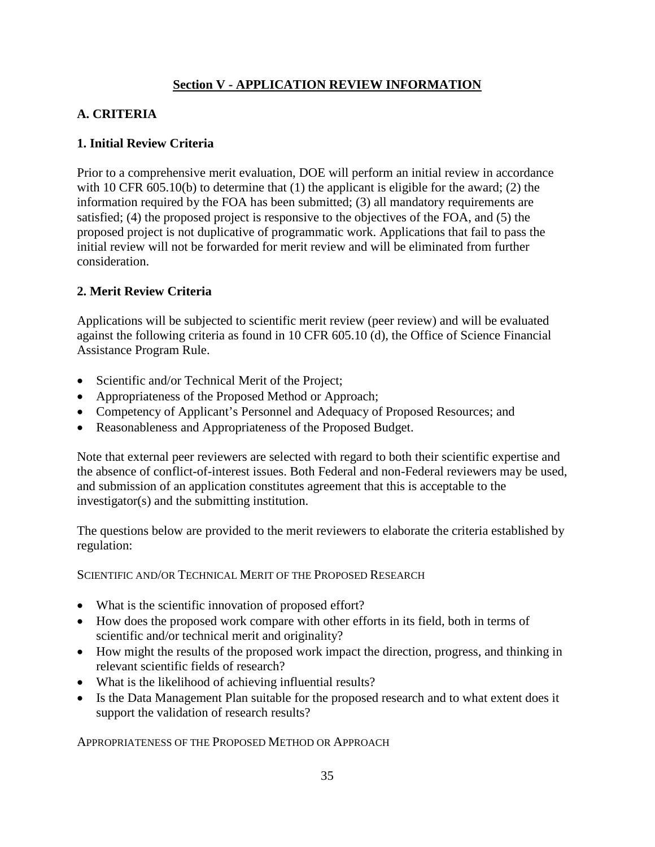### **Section V - APPLICATION REVIEW INFORMATION**

### <span id="page-39-1"></span><span id="page-39-0"></span>**A. CRITERIA**

#### **1. Initial Review Criteria**

Prior to a comprehensive merit evaluation, DOE will perform an initial review in accordance with 10 CFR 605.10(b) to determine that (1) the applicant is eligible for the award; (2) the information required by the FOA has been submitted; (3) all mandatory requirements are satisfied; (4) the proposed project is responsive to the objectives of the FOA, and (5) the proposed project is not duplicative of programmatic work. Applications that fail to pass the initial review will not be forwarded for merit review and will be eliminated from further consideration.

### **2. Merit Review Criteria**

Applications will be subjected to scientific merit review (peer review) and will be evaluated against the following criteria as found in 10 CFR 605.10 (d), the Office of Science Financial Assistance Program Rule.

- Scientific and/or Technical Merit of the Project;
- Appropriateness of the Proposed Method or Approach;
- Competency of Applicant's Personnel and Adequacy of Proposed Resources; and
- Reasonableness and Appropriateness of the Proposed Budget.

Note that external peer reviewers are selected with regard to both their scientific expertise and the absence of conflict-of-interest issues. Both Federal and non-Federal reviewers may be used, and submission of an application constitutes agreement that this is acceptable to the investigator(s) and the submitting institution.

The questions below are provided to the merit reviewers to elaborate the criteria established by regulation:

SCIENTIFIC AND/OR TECHNICAL MERIT OF THE PROPOSED RESEARCH

- What is the scientific innovation of proposed effort?
- How does the proposed work compare with other efforts in its field, both in terms of scientific and/or technical merit and originality?
- How might the results of the proposed work impact the direction, progress, and thinking in relevant scientific fields of research?
- What is the likelihood of achieving influential results?
- Is the Data Management Plan suitable for the proposed research and to what extent does it support the validation of research results?

APPROPRIATENESS OF THE PROPOSED METHOD OR APPROACH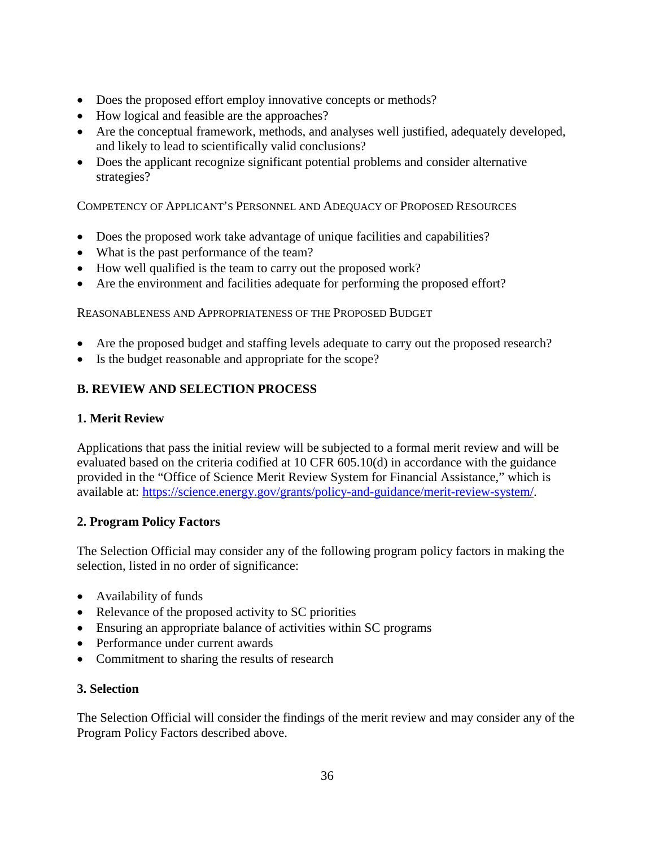- Does the proposed effort employ innovative concepts or methods?
- How logical and feasible are the approaches?
- Are the conceptual framework, methods, and analyses well justified, adequately developed, and likely to lead to scientifically valid conclusions?
- Does the applicant recognize significant potential problems and consider alternative strategies?

COMPETENCY OF APPLICANT'S PERSONNEL AND ADEQUACY OF PROPOSED RESOURCES

- Does the proposed work take advantage of unique facilities and capabilities?
- What is the past performance of the team?
- How well qualified is the team to carry out the proposed work?
- Are the environment and facilities adequate for performing the proposed effort?

REASONABLENESS AND APPROPRIATENESS OF THE PROPOSED BUDGET

- Are the proposed budget and staffing levels adequate to carry out the proposed research?
- Is the budget reasonable and appropriate for the scope?

### <span id="page-40-0"></span>**B. REVIEW AND SELECTION PROCESS**

#### **1. Merit Review**

Applications that pass the initial review will be subjected to a formal merit review and will be evaluated based on the criteria codified at 10 CFR 605.10(d) in accordance with the guidance provided in the "Office of Science Merit Review System for Financial Assistance," which is available at: [https://science.energy.gov/grants/policy-and-guidance/merit-review-system/.](http://science.energy.gov/grants/policy-and-guidance/merit-review-system/)

### **2. Program Policy Factors**

The Selection Official may consider any of the following program policy factors in making the selection, listed in no order of significance:

- Availability of funds
- Relevance of the proposed activity to SC priorities
- Ensuring an appropriate balance of activities within SC programs
- Performance under current awards
- Commitment to sharing the results of research

### **3. Selection**

The Selection Official will consider the findings of the merit review and may consider any of the Program Policy Factors described above.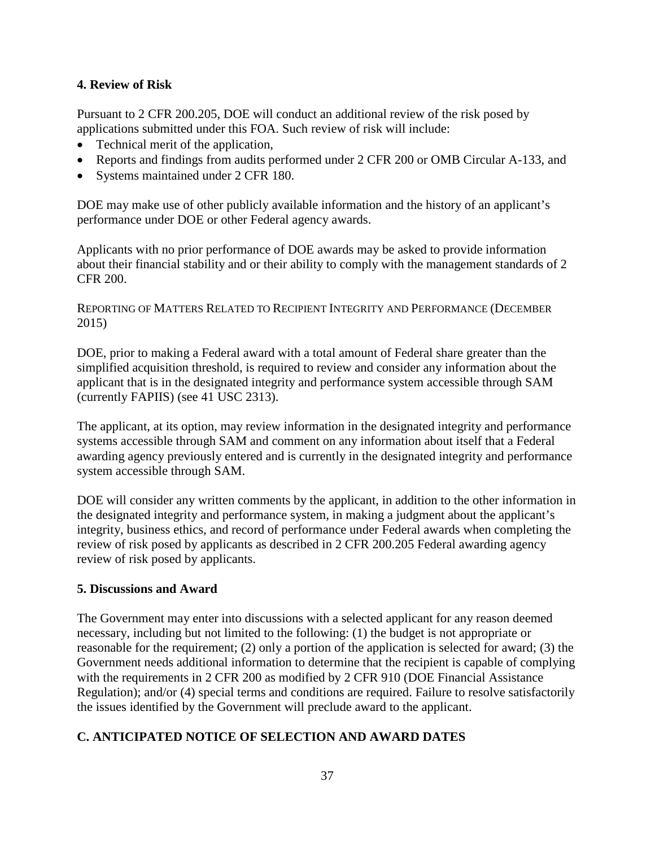#### **4. Review of Risk**

Pursuant to 2 CFR 200.205, DOE will conduct an additional review of the risk posed by applications submitted under this FOA. Such review of risk will include:

- Technical merit of the application,
- Reports and findings from audits performed under 2 CFR 200 or OMB Circular A-133, and
- Systems maintained under 2 CFR 180.

DOE may make use of other publicly available information and the history of an applicant's performance under DOE or other Federal agency awards.

Applicants with no prior performance of DOE awards may be asked to provide information about their financial stability and or their ability to comply with the management standards of 2 CFR 200.

REPORTING OF MATTERS RELATED TO RECIPIENT INTEGRITY AND PERFORMANCE (DECEMBER 2015)

DOE, prior to making a Federal award with a total amount of Federal share greater than the simplified acquisition threshold, is required to review and consider any information about the applicant that is in the designated integrity and performance system accessible through SAM (currently FAPIIS) (see 41 USC 2313).

The applicant, at its option, may review information in the designated integrity and performance systems accessible through SAM and comment on any information about itself that a Federal awarding agency previously entered and is currently in the designated integrity and performance system accessible through SAM.

DOE will consider any written comments by the applicant, in addition to the other information in the designated integrity and performance system, in making a judgment about the applicant's integrity, business ethics, and record of performance under Federal awards when completing the review of risk posed by applicants as described in 2 CFR 200.205 Federal awarding agency review of risk posed by applicants.

#### **5. Discussions and Award**

The Government may enter into discussions with a selected applicant for any reason deemed necessary, including but not limited to the following: (1) the budget is not appropriate or reasonable for the requirement; (2) only a portion of the application is selected for award; (3) the Government needs additional information to determine that the recipient is capable of complying with the requirements in 2 CFR 200 as modified by 2 CFR 910 (DOE Financial Assistance Regulation); and/or (4) special terms and conditions are required. Failure to resolve satisfactorily the issues identified by the Government will preclude award to the applicant.

### <span id="page-41-0"></span>**C. ANTICIPATED NOTICE OF SELECTION AND AWARD DATES**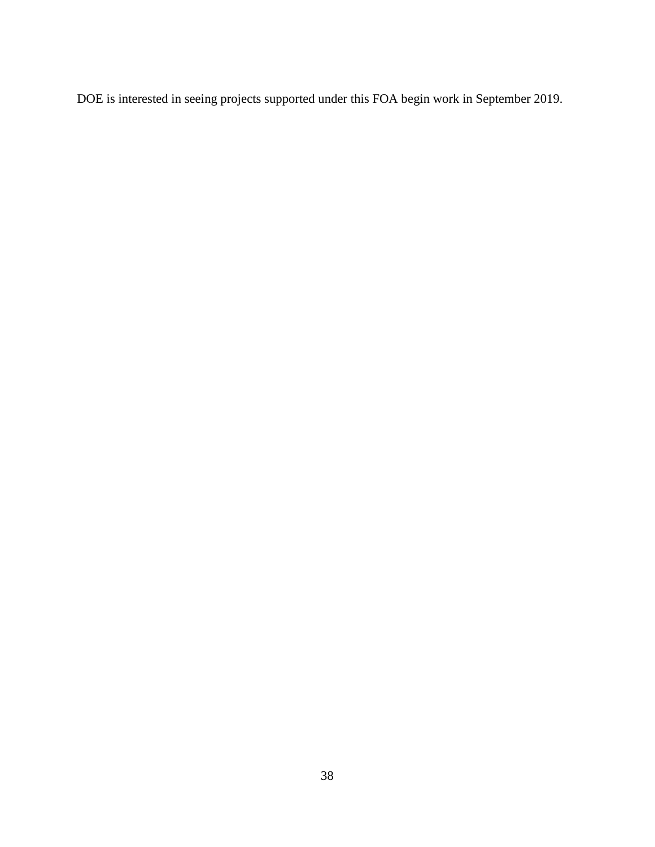DOE is interested in seeing projects supported under this FOA begin work in September 2019.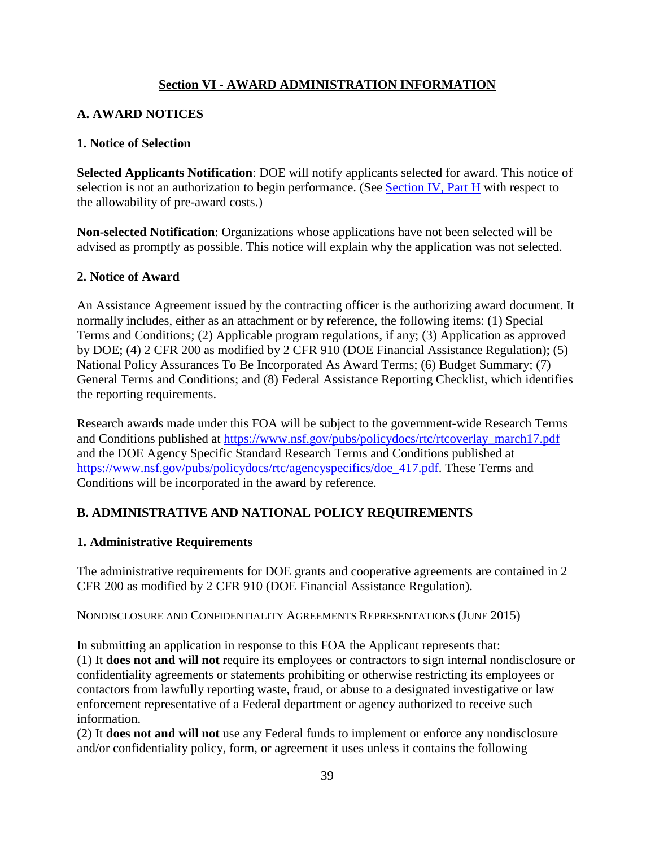### **Section VI - AWARD ADMINISTRATION INFORMATION**

### <span id="page-43-1"></span><span id="page-43-0"></span>**A. AWARD NOTICES**

#### **1. Notice of Selection**

**Selected Applicants Notification**: DOE will notify applicants selected for award. This notice of selection is not an authorization to begin performance. (See [Section IV, Part H](#page-32-2) with respect to the allowability of pre-award costs.)

**Non-selected Notification**: Organizations whose applications have not been selected will be advised as promptly as possible. This notice will explain why the application was not selected.

#### **2. Notice of Award**

An Assistance Agreement issued by the contracting officer is the authorizing award document. It normally includes, either as an attachment or by reference, the following items: (1) Special Terms and Conditions; (2) Applicable program regulations, if any; (3) Application as approved by DOE; (4) 2 CFR 200 as modified by 2 CFR 910 (DOE Financial Assistance Regulation); (5) National Policy Assurances To Be Incorporated As Award Terms; (6) Budget Summary; (7) General Terms and Conditions; and (8) Federal Assistance Reporting Checklist, which identifies the reporting requirements.

Research awards made under this FOA will be subject to the government-wide Research Terms and Conditions published at [https://www.nsf.gov/pubs/policydocs/rtc/rtcoverlay\\_march17.pdf](https://www.nsf.gov/pubs/policydocs/rtc/rtcoverlay_march17.pdf) and the DOE Agency Specific Standard Research Terms and Conditions published at [https://www.nsf.gov/pubs/policydocs/rtc/agencyspecifics/doe\\_417.pdf.](https://www.nsf.gov/pubs/policydocs/rtc/agencyspecifics/doe_417.pdf) These Terms and Conditions will be incorporated in the award by reference.

### <span id="page-43-2"></span>**B. ADMINISTRATIVE AND NATIONAL POLICY REQUIREMENTS**

### **1. Administrative Requirements**

The administrative requirements for DOE grants and cooperative agreements are contained in 2 CFR 200 as modified by 2 CFR 910 (DOE Financial Assistance Regulation).

NONDISCLOSURE AND CONFIDENTIALITY AGREEMENTS REPRESENTATIONS (JUNE 2015)

In submitting an application in response to this FOA the Applicant represents that: (1) It **does not and will not** require its employees or contractors to sign internal nondisclosure or confidentiality agreements or statements prohibiting or otherwise restricting its employees or contactors from lawfully reporting waste, fraud, or abuse to a designated investigative or law enforcement representative of a Federal department or agency authorized to receive such information.

(2) It **does not and will not** use any Federal funds to implement or enforce any nondisclosure and/or confidentiality policy, form, or agreement it uses unless it contains the following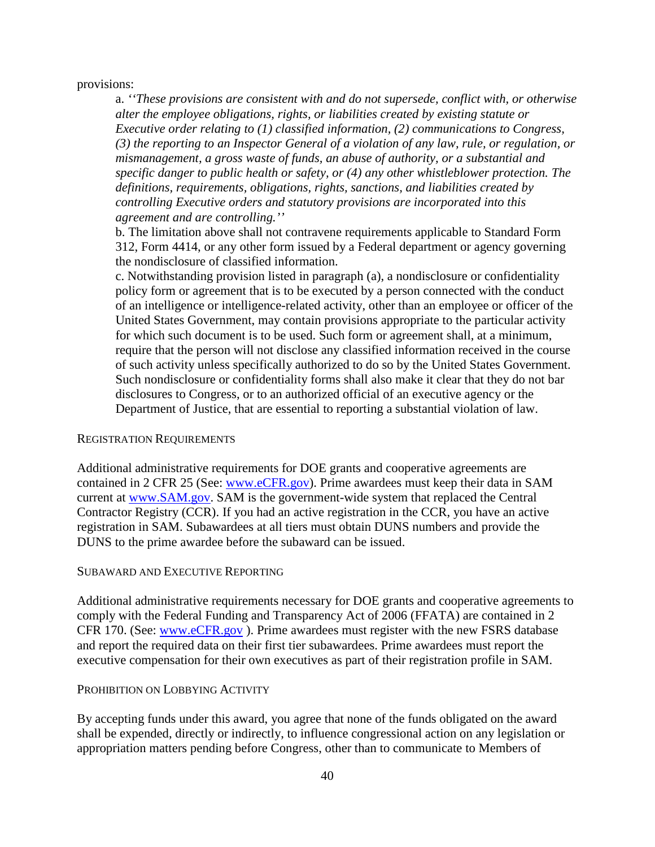provisions:

a. *''These provisions are consistent with and do not supersede, conflict with, or otherwise alter the employee obligations, rights, or liabilities created by existing statute or Executive order relating to (1) classified information, (2) communications to Congress, (3) the reporting to an Inspector General of a violation of any law, rule, or regulation, or mismanagement, a gross waste of funds, an abuse of authority, or a substantial and specific danger to public health or safety, or (4) any other whistleblower protection. The definitions, requirements, obligations, rights, sanctions, and liabilities created by controlling Executive orders and statutory provisions are incorporated into this agreement and are controlling.''*

b. The limitation above shall not contravene requirements applicable to Standard Form 312, Form 4414, or any other form issued by a Federal department or agency governing the nondisclosure of classified information.

c. Notwithstanding provision listed in paragraph (a), a nondisclosure or confidentiality policy form or agreement that is to be executed by a person connected with the conduct of an intelligence or intelligence-related activity, other than an employee or officer of the United States Government, may contain provisions appropriate to the particular activity for which such document is to be used. Such form or agreement shall, at a minimum, require that the person will not disclose any classified information received in the course of such activity unless specifically authorized to do so by the United States Government. Such nondisclosure or confidentiality forms shall also make it clear that they do not bar disclosures to Congress, or to an authorized official of an executive agency or the Department of Justice, that are essential to reporting a substantial violation of law.

#### REGISTRATION REQUIREMENTS

Additional administrative requirements for DOE grants and cooperative agreements are contained in 2 CFR 25 (See: [www.eCFR.gov\)](https://www.ecfr.gov/). Prime awardees must keep their data in SAM current at [www.SAM.gov.](https://www.sam.gov/) SAM is the government-wide system that replaced the Central Contractor Registry (CCR). If you had an active registration in the CCR, you have an active registration in SAM. Subawardees at all tiers must obtain DUNS numbers and provide the DUNS to the prime awardee before the subaward can be issued.

#### SUBAWARD AND EXECUTIVE REPORTING

Additional administrative requirements necessary for DOE grants and cooperative agreements to comply with the Federal Funding and Transparency Act of 2006 (FFATA) are contained in 2 CFR 170. (See: [www.eCFR.gov](https://www.ecfr.gov/)). Prime awardees must register with the new FSRS database and report the required data on their first tier subawardees. Prime awardees must report the executive compensation for their own executives as part of their registration profile in SAM.

#### PROHIBITION ON LOBBYING ACTIVITY

By accepting funds under this award, you agree that none of the funds obligated on the award shall be expended, directly or indirectly, to influence congressional action on any legislation or appropriation matters pending before Congress, other than to communicate to Members of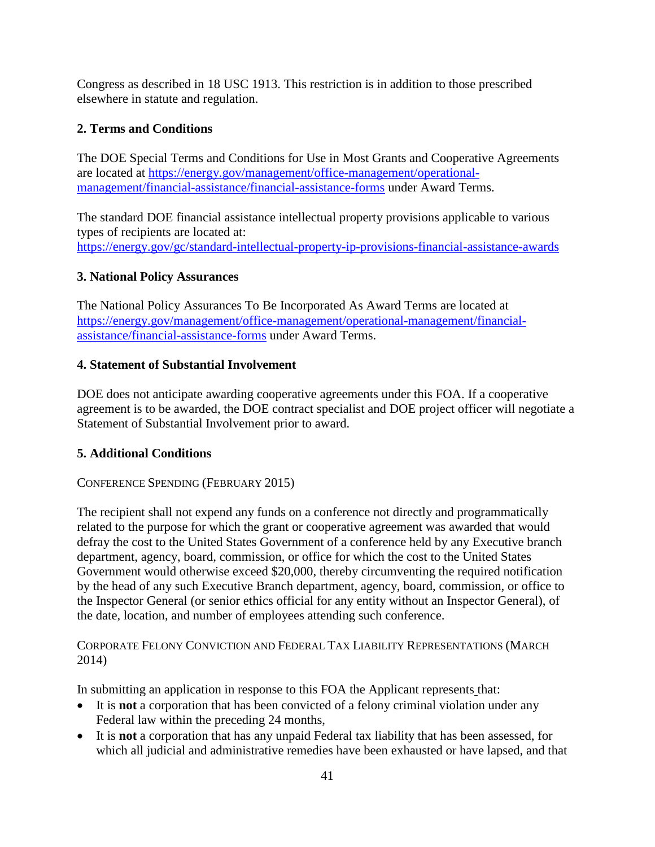Congress as described in 18 USC 1913. This restriction is in addition to those prescribed elsewhere in statute and regulation.

# **2. Terms and Conditions**

The DOE Special Terms and Conditions for Use in Most Grants and Cooperative Agreements are located at [https://energy.gov/management/office-management/operational](https://energy.gov/management/office-management/operational-management/financial-assistance/financial-assistance-forms)[management/financial-assistance/financial-assistance-forms](https://energy.gov/management/office-management/operational-management/financial-assistance/financial-assistance-forms) under Award Terms.

The standard DOE financial assistance intellectual property provisions applicable to various types of recipients are located at: <https://energy.gov/gc/standard-intellectual-property-ip-provisions-financial-assistance-awards>

# **3. National Policy Assurances**

The National Policy Assurances To Be Incorporated As Award Terms are located at [https://energy.gov/management/office-management/operational-management/financial](https://energy.gov/management/office-management/operational-management/financial-assistance/financial-assistance-forms)[assistance/financial-assistance-forms](https://energy.gov/management/office-management/operational-management/financial-assistance/financial-assistance-forms) under Award Terms.

### **4. Statement of Substantial Involvement**

DOE does not anticipate awarding cooperative agreements under this FOA. If a cooperative agreement is to be awarded, the DOE contract specialist and DOE project officer will negotiate a Statement of Substantial Involvement prior to award.

# **5. Additional Conditions**

### CONFERENCE SPENDING (FEBRUARY 2015)

The recipient shall not expend any funds on a conference not directly and programmatically related to the purpose for which the grant or cooperative agreement was awarded that would defray the cost to the United States Government of a conference held by any Executive branch department, agency, board, commission, or office for which the cost to the United States Government would otherwise exceed \$20,000, thereby circumventing the required notification by the head of any such Executive Branch department, agency, board, commission, or office to the Inspector General (or senior ethics official for any entity without an Inspector General), of the date, location, and number of employees attending such conference.

### CORPORATE FELONY CONVICTION AND FEDERAL TAX LIABILITY REPRESENTATIONS (MARCH 2014)

In submitting an application in response to this FOA the Applicant represents that:

- It is **not** a corporation that has been convicted of a felony criminal violation under any Federal law within the preceding 24 months,
- It is **not** a corporation that has any unpaid Federal tax liability that has been assessed, for which all judicial and administrative remedies have been exhausted or have lapsed, and that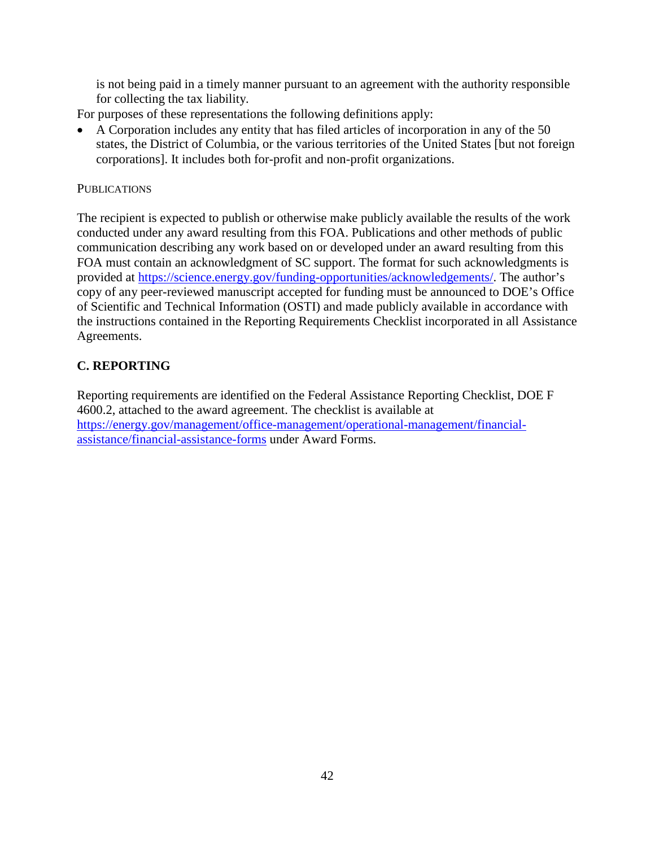is not being paid in a timely manner pursuant to an agreement with the authority responsible for collecting the tax liability.

For purposes of these representations the following definitions apply:

• A Corporation includes any entity that has filed articles of incorporation in any of the 50 states, the District of Columbia, or the various territories of the United States [but not foreign corporations]. It includes both for-profit and non-profit organizations.

#### **PUBLICATIONS**

The recipient is expected to publish or otherwise make publicly available the results of the work conducted under any award resulting from this FOA. Publications and other methods of public communication describing any work based on or developed under an award resulting from this FOA must contain an acknowledgment of SC support. The format for such acknowledgments is provided at [https://science.energy.gov/funding-opportunities/acknowledgements/.](https://science.energy.gov/funding-opportunities/acknowledgements/) The author's copy of any peer-reviewed manuscript accepted for funding must be announced to DOE's Office of Scientific and Technical Information (OSTI) and made publicly available in accordance with the instructions contained in the Reporting Requirements Checklist incorporated in all Assistance Agreements.

### <span id="page-46-0"></span>**C. REPORTING**

Reporting requirements are identified on the Federal Assistance Reporting Checklist, DOE F 4600.2, attached to the award agreement. The checklist is available at [https://energy.gov/management/office-management/operational-management/financial](https://energy.gov/management/office-management/operational-management/financial-assistance/financial-assistance-forms)[assistance/financial-assistance-forms](https://energy.gov/management/office-management/operational-management/financial-assistance/financial-assistance-forms) under Award Forms.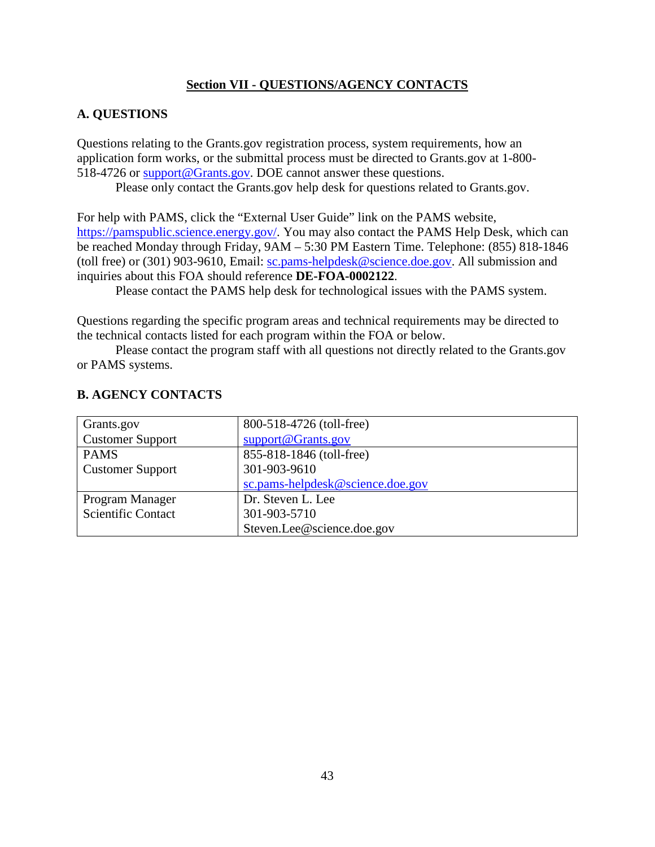#### **Section VII - QUESTIONS/AGENCY CONTACTS**

#### <span id="page-47-1"></span><span id="page-47-0"></span>**A. QUESTIONS**

Questions relating to the Grants.gov registration process, system requirements, how an application form works, or the submittal process must be directed to Grants.gov at 1-800- 518-4726 or [support@Grants.gov.](mailto:support@grants.gov) DOE cannot answer these questions.

Please only contact the Grants.gov help desk for questions related to Grants.gov.

For help with PAMS, click the "External User Guide" link on the PAMS website, [https://pamspublic.science.energy.gov/.](https://pamspublic.science.energy.gov/) You may also contact the PAMS Help Desk, which can be reached Monday through Friday, 9AM – 5:30 PM Eastern Time. Telephone: (855) 818-1846 (toll free) or (301) 903-9610, Email: [sc.pams-helpdesk@science.doe.gov.](mailto:sc.pams-helpdesk@science.doe.gov) All submission and inquiries about this FOA should reference **DE-FOA-0002122**.

Please contact the PAMS help desk for technological issues with the PAMS system.

Questions regarding the specific program areas and technical requirements may be directed to the technical contacts listed for each program within the FOA or below.

Please contact the program staff with all questions not directly related to the Grants.gov or PAMS systems.

| Grants.gov                | 800-518-4726 (toll-free)         |
|---------------------------|----------------------------------|
| <b>Customer Support</b>   | support@Grants.gov               |
| <b>PAMS</b>               | 855-818-1846 (toll-free)         |
| <b>Customer Support</b>   | 301-903-9610                     |
|                           | sc.pams-helpdesk@science.doe.gov |
| Program Manager           | Dr. Steven L. Lee                |
| <b>Scientific Contact</b> | 301-903-5710                     |
|                           | Steven.Lee@science.doe.gov       |

### <span id="page-47-2"></span>**B. AGENCY CONTACTS**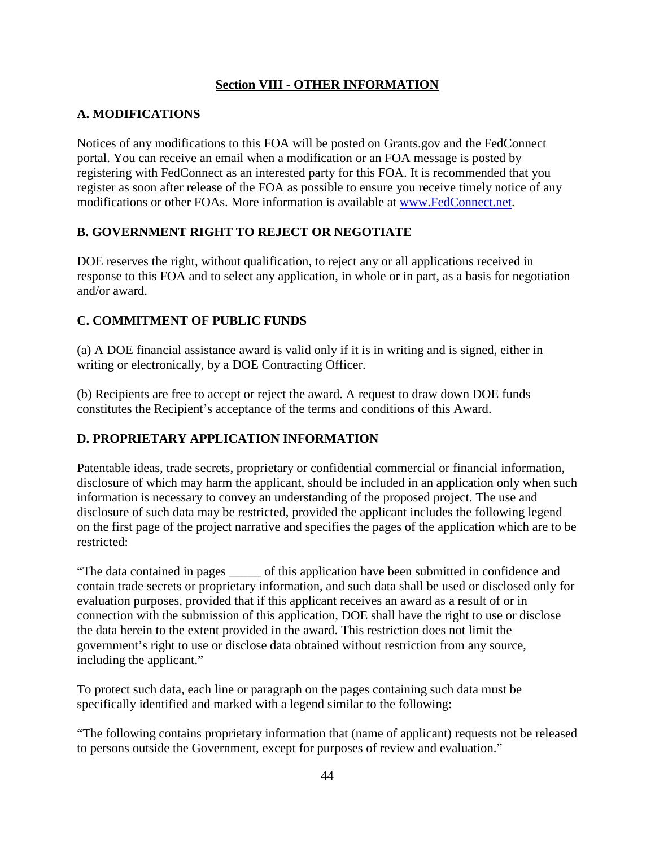### **Section VIII - OTHER INFORMATION**

### <span id="page-48-1"></span><span id="page-48-0"></span>**A. MODIFICATIONS**

Notices of any modifications to this FOA will be posted on Grants.gov and the FedConnect portal. You can receive an email when a modification or an FOA message is posted by registering with FedConnect as an interested party for this FOA. It is recommended that you register as soon after release of the FOA as possible to ensure you receive timely notice of any modifications or other FOAs. More information is available at [www.FedConnect.net.](https://www.fedconnect.net/)

# <span id="page-48-2"></span>**B. GOVERNMENT RIGHT TO REJECT OR NEGOTIATE**

DOE reserves the right, without qualification, to reject any or all applications received in response to this FOA and to select any application, in whole or in part, as a basis for negotiation and/or award.

### <span id="page-48-3"></span>**C. COMMITMENT OF PUBLIC FUNDS**

(a) A DOE financial assistance award is valid only if it is in writing and is signed, either in writing or electronically, by a DOE Contracting Officer.

(b) Recipients are free to accept or reject the award. A request to draw down DOE funds constitutes the Recipient's acceptance of the terms and conditions of this Award.

# <span id="page-48-4"></span>**D. PROPRIETARY APPLICATION INFORMATION**

Patentable ideas, trade secrets, proprietary or confidential commercial or financial information, disclosure of which may harm the applicant, should be included in an application only when such information is necessary to convey an understanding of the proposed project. The use and disclosure of such data may be restricted, provided the applicant includes the following legend on the first page of the project narrative and specifies the pages of the application which are to be restricted:

"The data contained in pages \_\_\_\_\_ of this application have been submitted in confidence and contain trade secrets or proprietary information, and such data shall be used or disclosed only for evaluation purposes, provided that if this applicant receives an award as a result of or in connection with the submission of this application, DOE shall have the right to use or disclose the data herein to the extent provided in the award. This restriction does not limit the government's right to use or disclose data obtained without restriction from any source, including the applicant."

To protect such data, each line or paragraph on the pages containing such data must be specifically identified and marked with a legend similar to the following:

"The following contains proprietary information that (name of applicant) requests not be released to persons outside the Government, except for purposes of review and evaluation."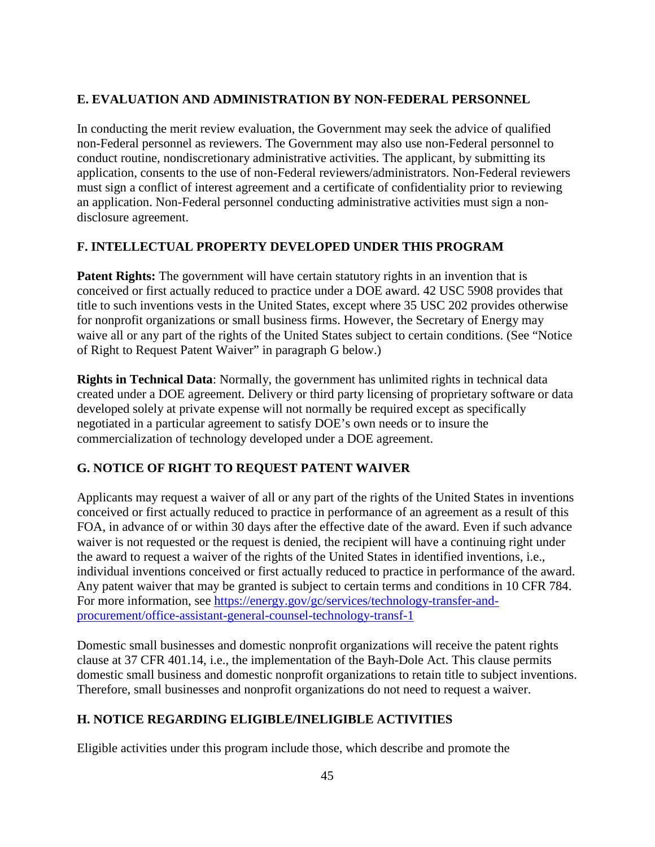### <span id="page-49-0"></span>**E. EVALUATION AND ADMINISTRATION BY NON-FEDERAL PERSONNEL**

In conducting the merit review evaluation, the Government may seek the advice of qualified non-Federal personnel as reviewers. The Government may also use non-Federal personnel to conduct routine, nondiscretionary administrative activities. The applicant, by submitting its application, consents to the use of non-Federal reviewers/administrators. Non-Federal reviewers must sign a conflict of interest agreement and a certificate of confidentiality prior to reviewing an application. Non-Federal personnel conducting administrative activities must sign a nondisclosure agreement.

### <span id="page-49-1"></span>**F. INTELLECTUAL PROPERTY DEVELOPED UNDER THIS PROGRAM**

**Patent Rights:** The government will have certain statutory rights in an invention that is conceived or first actually reduced to practice under a DOE award. 42 USC 5908 provides that title to such inventions vests in the United States, except where 35 USC 202 provides otherwise for nonprofit organizations or small business firms. However, the Secretary of Energy may waive all or any part of the rights of the United States subject to certain conditions. (See "Notice of Right to Request Patent Waiver" in paragraph G below.)

**Rights in Technical Data**: Normally, the government has unlimited rights in technical data created under a DOE agreement. Delivery or third party licensing of proprietary software or data developed solely at private expense will not normally be required except as specifically negotiated in a particular agreement to satisfy DOE's own needs or to insure the commercialization of technology developed under a DOE agreement.

# <span id="page-49-2"></span>**G. NOTICE OF RIGHT TO REQUEST PATENT WAIVER**

Applicants may request a waiver of all or any part of the rights of the United States in inventions conceived or first actually reduced to practice in performance of an agreement as a result of this FOA, in advance of or within 30 days after the effective date of the award. Even if such advance waiver is not requested or the request is denied, the recipient will have a continuing right under the award to request a waiver of the rights of the United States in identified inventions, i.e., individual inventions conceived or first actually reduced to practice in performance of the award. Any patent waiver that may be granted is subject to certain terms and conditions in 10 CFR 784. For more information, see [https://energy.gov/gc/services/technology-transfer-and](https://energy.gov/gc/services/technology-transfer-and-procurement/office-assistant-general-counsel-technology-transf-1)[procurement/office-assistant-general-counsel-technology-transf-1](https://energy.gov/gc/services/technology-transfer-and-procurement/office-assistant-general-counsel-technology-transf-1)

Domestic small businesses and domestic nonprofit organizations will receive the patent rights clause at 37 CFR 401.14, i.e., the implementation of the Bayh-Dole Act. This clause permits domestic small business and domestic nonprofit organizations to retain title to subject inventions. Therefore, small businesses and nonprofit organizations do not need to request a waiver.

### <span id="page-49-3"></span>**H. NOTICE REGARDING ELIGIBLE/INELIGIBLE ACTIVITIES**

Eligible activities under this program include those, which describe and promote the